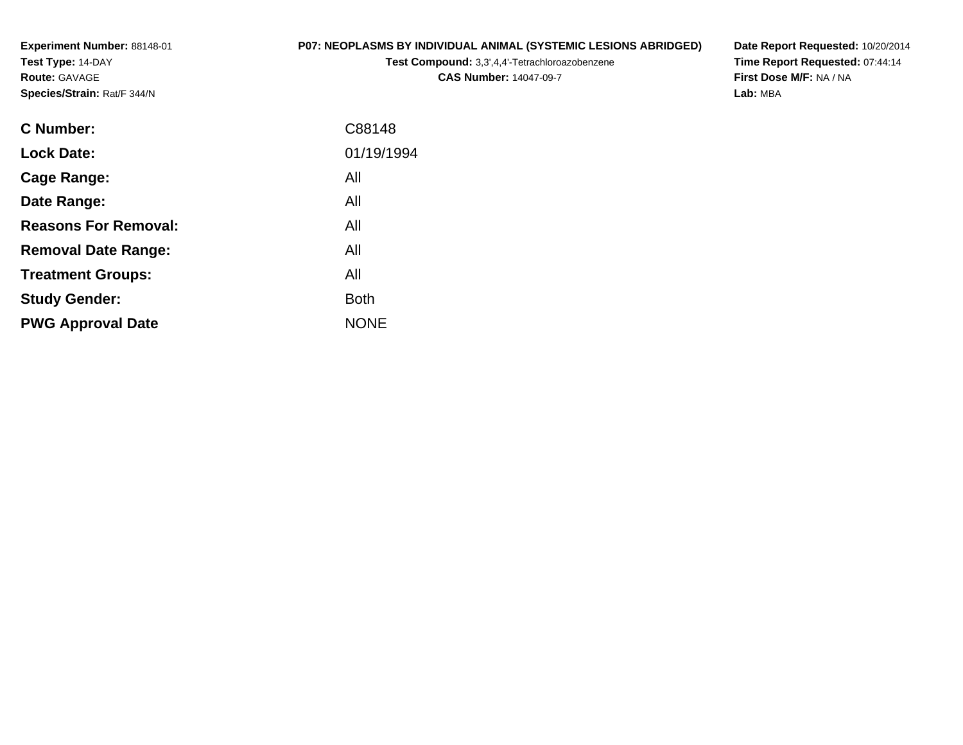**Experiment Number:** 88148-01**Test Type:** 14-DAY**Route:** GAVAGE**Species/Strain:** Rat/F 344/N

# **P07: NEOPLASMS BY INDIVIDUAL ANIMAL (SYSTEMIC LESIONS ABRIDGED)**

**Test Compound:** 3,3',4,4'-Tetrachloroazobenzene**CAS Number:** 14047-09-7

**Date Report Requested:** 10/20/2014 **Time Report Requested:** 07:44:14**First Dose M/F:** NA / NA**Lab:** MBA

| C Number:                   | C88148      |
|-----------------------------|-------------|
| <b>Lock Date:</b>           | 01/19/1994  |
| Cage Range:                 | All         |
| Date Range:                 | All         |
| <b>Reasons For Removal:</b> | All         |
| <b>Removal Date Range:</b>  | All         |
| <b>Treatment Groups:</b>    | All         |
| <b>Study Gender:</b>        | <b>Both</b> |
| <b>PWG Approval Date</b>    | <b>NONE</b> |
|                             |             |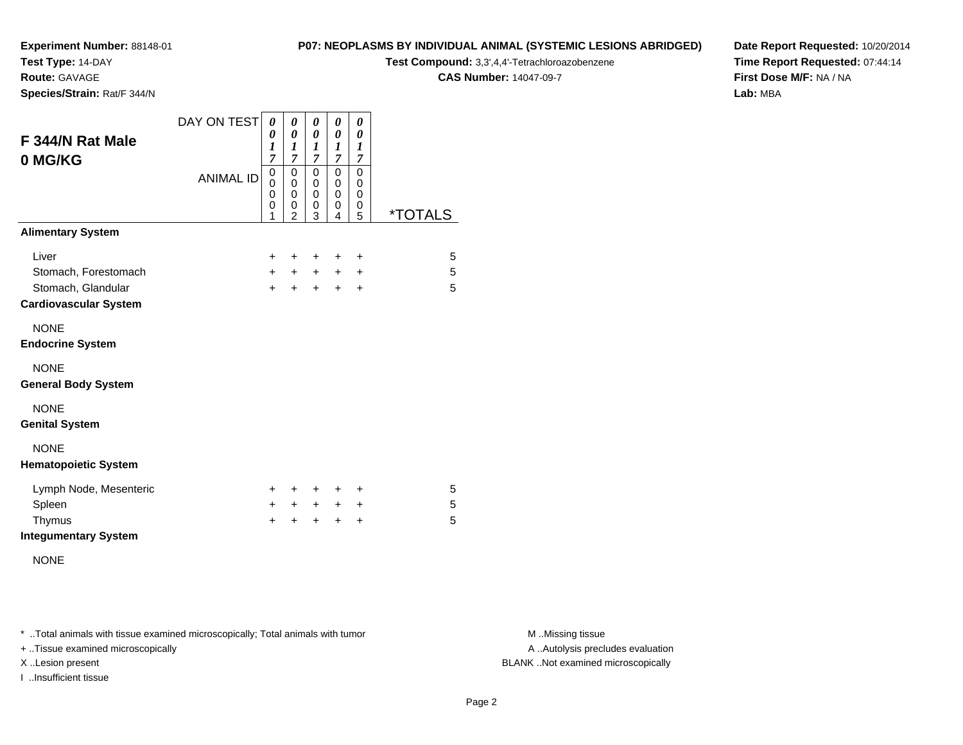**Test Type:** 14-DAY

**Route:** GAVAGE

**Species/Strain:** Rat/F 344/N

#### **P07: NEOPLASMS BY INDIVIDUAL ANIMAL (SYSTEMIC LESIONS ABRIDGED)**

**Test Compound:** 3,3',4,4'-Tetrachloroazobenzene

**CAS Number:** 14047-09-7

**Date Report Requested:** 10/20/2014**Time Report Requested:** 07:44:14**First Dose M/F:** NA / NA**Lab:** MBA

| F 344/N Rat Male             | DAY ON TEST      | 0<br>0<br>$\boldsymbol{l}$              | 0<br>0<br>1                                          | $\boldsymbol{\theta}$<br>0<br>$\boldsymbol{l}$                        | 0<br>0<br>1                                                 | 0<br>0<br>$\boldsymbol{l}$                                       |         |
|------------------------------|------------------|-----------------------------------------|------------------------------------------------------|-----------------------------------------------------------------------|-------------------------------------------------------------|------------------------------------------------------------------|---------|
| 0 MG/KG                      | <b>ANIMAL ID</b> | $\overline{7}$<br>0<br>0<br>0<br>0<br>1 | $\overline{7}$<br>0<br>0<br>0<br>0<br>$\overline{2}$ | $\overline{7}$<br>$\mathbf 0$<br>$\mathbf 0$<br>$\mathbf 0$<br>0<br>3 | $\overline{7}$<br>0<br>$\mathbf 0$<br>$\mathbf 0$<br>0<br>4 | $\overline{7}$<br>0<br>$\mathbf 0$<br>0<br>$\boldsymbol{0}$<br>5 | *TOTALS |
| <b>Alimentary System</b>     |                  |                                         |                                                      |                                                                       |                                                             |                                                                  |         |
| Liver                        |                  | $\pm$                                   | ٠                                                    | ÷                                                                     | ÷                                                           | ÷                                                                | 5       |
| Stomach, Forestomach         |                  | $+$                                     | $+$                                                  | $+$                                                                   | $+$                                                         | +                                                                | 5       |
| Stomach, Glandular           |                  | $+$                                     | $+$                                                  | $\ddot{}$                                                             | $+$                                                         | $\ddot{}$                                                        | 5       |
| <b>Cardiovascular System</b> |                  |                                         |                                                      |                                                                       |                                                             |                                                                  |         |
| <b>NONE</b>                  |                  |                                         |                                                      |                                                                       |                                                             |                                                                  |         |
| <b>Endocrine System</b>      |                  |                                         |                                                      |                                                                       |                                                             |                                                                  |         |
| <b>NONE</b>                  |                  |                                         |                                                      |                                                                       |                                                             |                                                                  |         |
| <b>General Body System</b>   |                  |                                         |                                                      |                                                                       |                                                             |                                                                  |         |
| <b>NONE</b>                  |                  |                                         |                                                      |                                                                       |                                                             |                                                                  |         |
| <b>Genital System</b>        |                  |                                         |                                                      |                                                                       |                                                             |                                                                  |         |
| <b>NONE</b>                  |                  |                                         |                                                      |                                                                       |                                                             |                                                                  |         |
| <b>Hematopoietic System</b>  |                  |                                         |                                                      |                                                                       |                                                             |                                                                  |         |
| Lymph Node, Mesenteric       |                  | $\ddot{}$                               | ٠                                                    | +                                                                     | ٠                                                           | ÷                                                                | 5       |
| Spleen                       |                  | $\pm$                                   | $\pm$                                                | $+$                                                                   | $+$                                                         | +                                                                | 5       |
| Thymus                       |                  | +                                       | ÷                                                    | +                                                                     | +                                                           | $\ddot{}$                                                        | 5       |
| <b>Integumentary System</b>  |                  |                                         |                                                      |                                                                       |                                                             |                                                                  |         |

NONE

\* ..Total animals with tissue examined microscopically; Total animals with tumor **M** . Missing tissue M ..Missing tissue

+ ..Tissue examined microscopically

I ..Insufficient tissue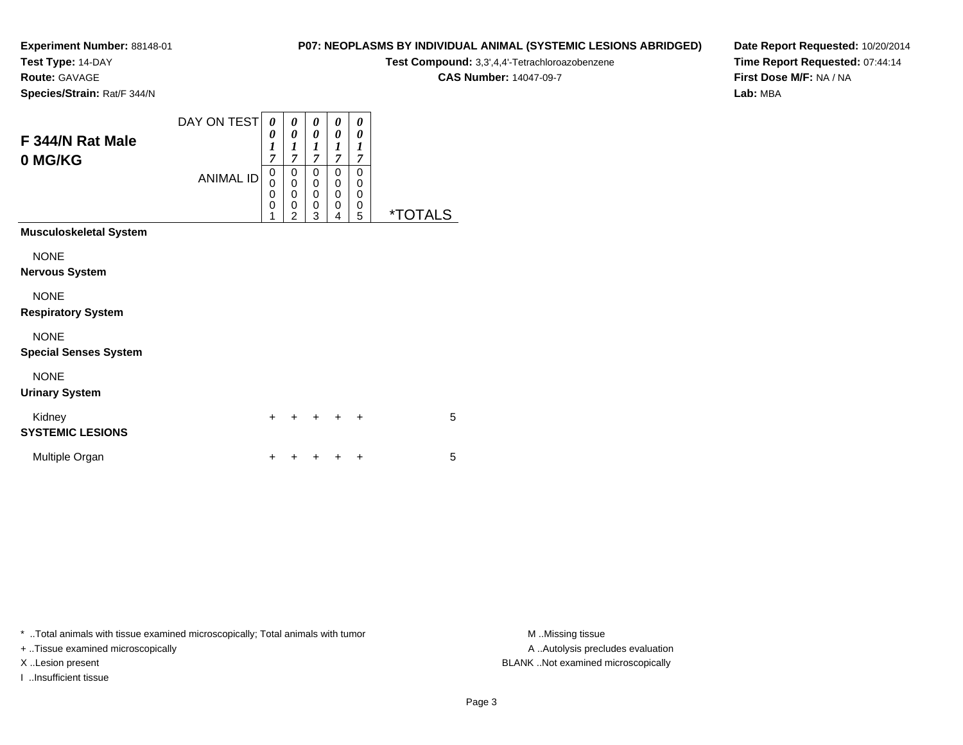**Test Type:** 14-DAY

**Route:** GAVAGE

**Species/Strain:** Rat/F 344/N

# **P07: NEOPLASMS BY INDIVIDUAL ANIMAL (SYSTEMIC LESIONS ABRIDGED)**

**Test Compound:** 3,3',4,4'-Tetrachloroazobenzene

**CAS Number:** 14047-09-7

**Date Report Requested:** 10/20/2014**Time Report Requested:** 07:44:14**First Dose M/F:** NA / NA**Lab:** MBA

| F 344/N Rat Male<br>0 MG/KG                 | DAY ON TEST<br><b>ANIMAL ID</b> | 0<br>0<br>1<br>7<br>0<br>$\mathbf 0$<br>0<br>0 | 0<br>0<br>1<br>7<br>0<br>$\mathbf 0$<br>0<br>0<br>$\overline{2}$ | 0<br>$\boldsymbol{\theta}$<br>1<br>7<br>0<br>0<br>0<br>0 | 0<br>0<br>1<br>7<br>0<br>0<br>0<br>0 | 0<br>$\boldsymbol{\theta}$<br>$\boldsymbol{l}$<br>$\overline{7}$<br>0<br>0<br>0<br>0 | <i><b>*TOTALS</b></i> |
|---------------------------------------------|---------------------------------|------------------------------------------------|------------------------------------------------------------------|----------------------------------------------------------|--------------------------------------|--------------------------------------------------------------------------------------|-----------------------|
| <b>Musculoskeletal System</b>               |                                 |                                                |                                                                  | 3                                                        | 4                                    | 5                                                                                    |                       |
| <b>NONE</b><br>Nervous System               |                                 |                                                |                                                                  |                                                          |                                      |                                                                                      |                       |
| <b>NONE</b><br><b>Respiratory System</b>    |                                 |                                                |                                                                  |                                                          |                                      |                                                                                      |                       |
| <b>NONE</b><br><b>Special Senses System</b> |                                 |                                                |                                                                  |                                                          |                                      |                                                                                      |                       |
| <b>NONE</b><br><b>Urinary System</b>        |                                 |                                                |                                                                  |                                                          |                                      |                                                                                      |                       |
| Kidney<br><b>SYSTEMIC LESIONS</b>           |                                 | $\ddot{}$                                      |                                                                  |                                                          |                                      | $\ddot{}$                                                                            | 5                     |
| Multiple Organ                              |                                 | +                                              |                                                                  |                                                          |                                      | +                                                                                    | 5                     |
|                                             |                                 |                                                |                                                                  |                                                          |                                      |                                                                                      |                       |

\* ..Total animals with tissue examined microscopically; Total animals with tumor **M** . Missing tissue M ..Missing tissue

+ ..Tissue examined microscopically

I ..Insufficient tissue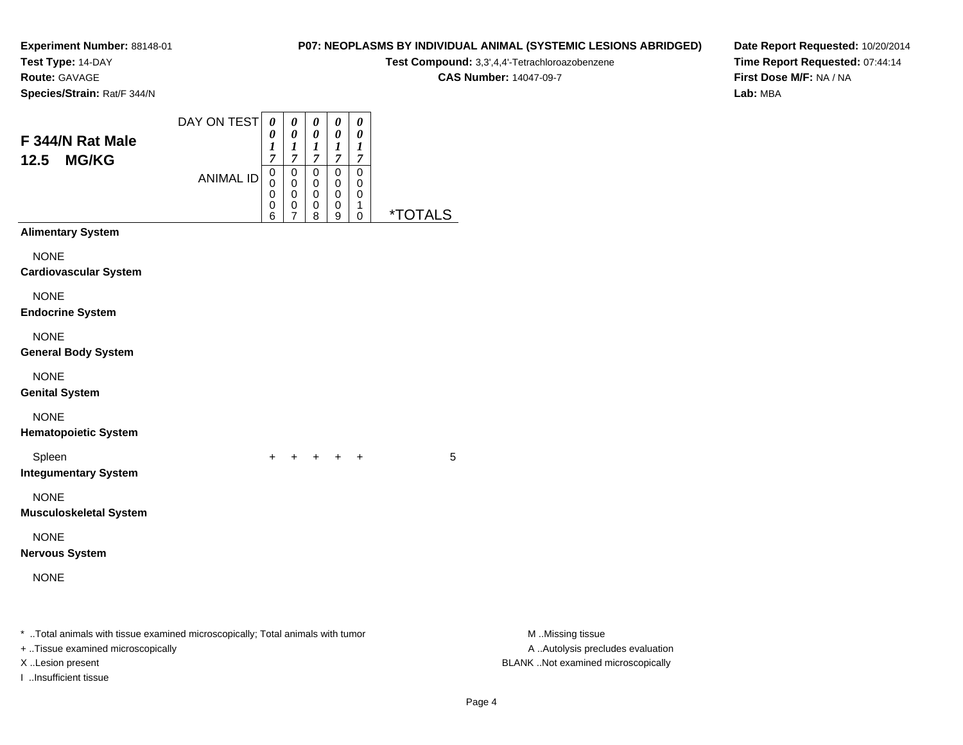**Test Type:** 14-DAY

**Route:** GAVAGE

**Species/Strain:** Rat/F 344/N

# **P07: NEOPLASMS BY INDIVIDUAL ANIMAL (SYSTEMIC LESIONS ABRIDGED)**

**Test Compound:** 3,3',4,4'-Tetrachloroazobenzene

**CAS Number:** 14047-09-7

**Date Report Requested:** 10/20/2014**Time Report Requested:** 07:44:14**First Dose M/F:** NA / NA**Lab:** MBA

| F 344/N Rat Male<br><b>MG/KG</b><br>12.5                                                                                                | DAY ON TEST<br><b>ANIMAL ID</b> | 0<br>0<br>1<br>$\overline{7}$<br>0<br>0<br>0<br>0<br>6 | 0<br>0<br>$\frac{1}{7}$<br>0<br>0<br>0<br>0<br>7 | 0<br>0<br>$\frac{1}{7}$<br>0<br>0<br>0<br>0<br>8 | 0<br>0<br>$\frac{1}{7}$<br>$\pmb{0}$<br>0<br>$\pmb{0}$<br>0<br>9 | 0<br>0<br>1<br>$\boldsymbol{7}$<br>$\pmb{0}$<br>0<br>0<br>1<br>0 | <i><b>*TOTALS</b></i> |                                                                                             |
|-----------------------------------------------------------------------------------------------------------------------------------------|---------------------------------|--------------------------------------------------------|--------------------------------------------------|--------------------------------------------------|------------------------------------------------------------------|------------------------------------------------------------------|-----------------------|---------------------------------------------------------------------------------------------|
| <b>Alimentary System</b>                                                                                                                |                                 |                                                        |                                                  |                                                  |                                                                  |                                                                  |                       |                                                                                             |
| <b>NONE</b><br><b>Cardiovascular System</b>                                                                                             |                                 |                                                        |                                                  |                                                  |                                                                  |                                                                  |                       |                                                                                             |
| <b>NONE</b><br><b>Endocrine System</b>                                                                                                  |                                 |                                                        |                                                  |                                                  |                                                                  |                                                                  |                       |                                                                                             |
| <b>NONE</b><br><b>General Body System</b>                                                                                               |                                 |                                                        |                                                  |                                                  |                                                                  |                                                                  |                       |                                                                                             |
| <b>NONE</b><br><b>Genital System</b>                                                                                                    |                                 |                                                        |                                                  |                                                  |                                                                  |                                                                  |                       |                                                                                             |
| <b>NONE</b><br><b>Hematopoietic System</b>                                                                                              |                                 |                                                        |                                                  |                                                  |                                                                  |                                                                  |                       |                                                                                             |
| Spleen<br><b>Integumentary System</b>                                                                                                   |                                 | $\ddot{}$                                              |                                                  | $\pm$                                            | $\ddot{}$                                                        | $^{+}$                                                           | 5                     |                                                                                             |
| <b>NONE</b><br><b>Musculoskeletal System</b>                                                                                            |                                 |                                                        |                                                  |                                                  |                                                                  |                                                                  |                       |                                                                                             |
| <b>NONE</b><br><b>Nervous System</b>                                                                                                    |                                 |                                                        |                                                  |                                                  |                                                                  |                                                                  |                       |                                                                                             |
| <b>NONE</b>                                                                                                                             |                                 |                                                        |                                                  |                                                  |                                                                  |                                                                  |                       |                                                                                             |
| * Total animals with tissue examined microscopically; Total animals with tumor<br>+ Tissue examined microscopically<br>X Lesion present |                                 |                                                        |                                                  |                                                  |                                                                  |                                                                  |                       | M Missing tissue<br>A  Autolysis precludes evaluation<br>BLANK Not examined microscopically |

I ..Insufficient tissue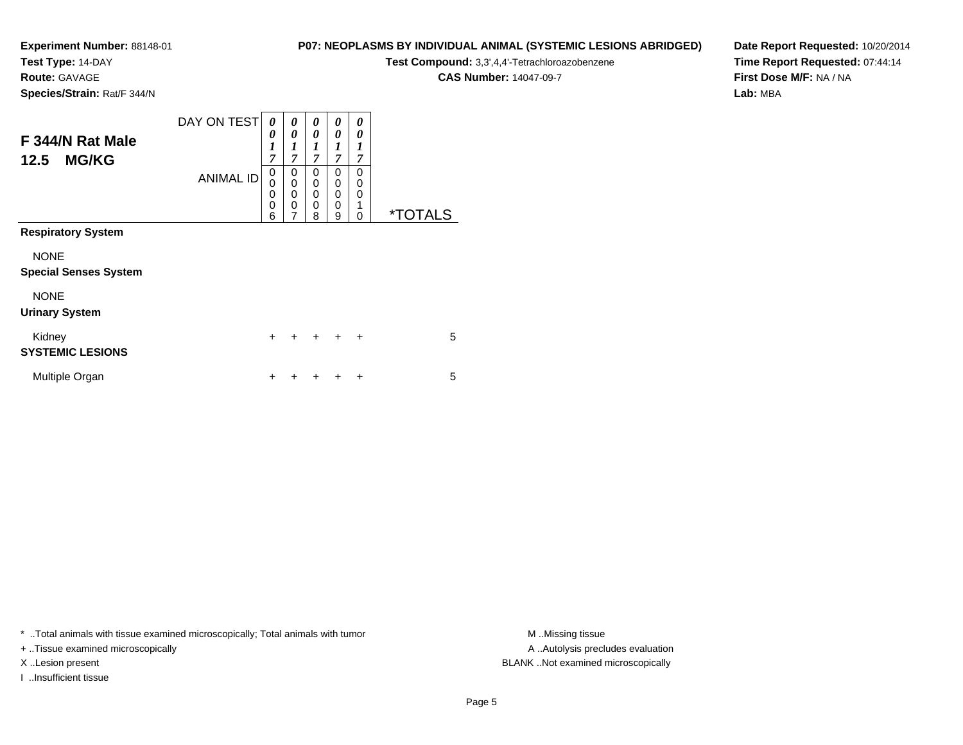**Test Type:** 14-DAY

**Route:** GAVAGE

**P07: NEOPLASMS BY INDIVIDUAL ANIMAL (SYSTEMIC LESIONS ABRIDGED)**

**Test Compound:** 3,3',4,4'-Tetrachloroazobenzene

**CAS Number:** 14047-09-7

**Date Report Requested:** 10/20/2014**Time Report Requested:** 07:44:14**First Dose M/F:** NA / NA**Lab:** MBA

**Species/Strain:** Rat/F 344/N

| F 344/N Rat Male<br><b>MG/KG</b><br>12.5    | DAY ON TEST<br><b>ANIMAL ID</b> | 0<br>0<br>1<br>$\overline{7}$<br>0<br>0<br>0<br>0<br>6 | 0<br>0<br>$\boldsymbol{l}$<br>$\overline{7}$<br>0<br>0<br>0<br>$\mathbf 0$<br>$\overline{7}$ | 0<br>0<br>1<br>$\overline{7}$<br>0<br>0<br>0<br>0<br>8 | 0<br>0<br>1<br>7<br>0<br>$\Omega$<br>$\Omega$<br>$\mathbf{0}$<br>9 | 0<br>0<br>1<br>7<br>0<br>0<br>0<br>1<br>0 | <i><b>*TOTALS</b></i> |
|---------------------------------------------|---------------------------------|--------------------------------------------------------|----------------------------------------------------------------------------------------------|--------------------------------------------------------|--------------------------------------------------------------------|-------------------------------------------|-----------------------|
| <b>Respiratory System</b>                   |                                 |                                                        |                                                                                              |                                                        |                                                                    |                                           |                       |
| <b>NONE</b><br><b>Special Senses System</b> |                                 |                                                        |                                                                                              |                                                        |                                                                    |                                           |                       |
| <b>NONE</b><br><b>Urinary System</b>        |                                 |                                                        |                                                                                              |                                                        |                                                                    |                                           |                       |
| Kidney<br><b>SYSTEMIC LESIONS</b>           |                                 | $\ddot{}$                                              | $\ddot{}$                                                                                    | $+$                                                    | $\ddot{}$                                                          | $\ddot{}$                                 | 5                     |
| Multiple Organ                              |                                 | +                                                      |                                                                                              |                                                        |                                                                    | +                                         | 5                     |

\* ..Total animals with tissue examined microscopically; Total animals with tumor **M** . Missing tissue M ..Missing tissue

+ ..Tissue examined microscopically

I ..Insufficient tissue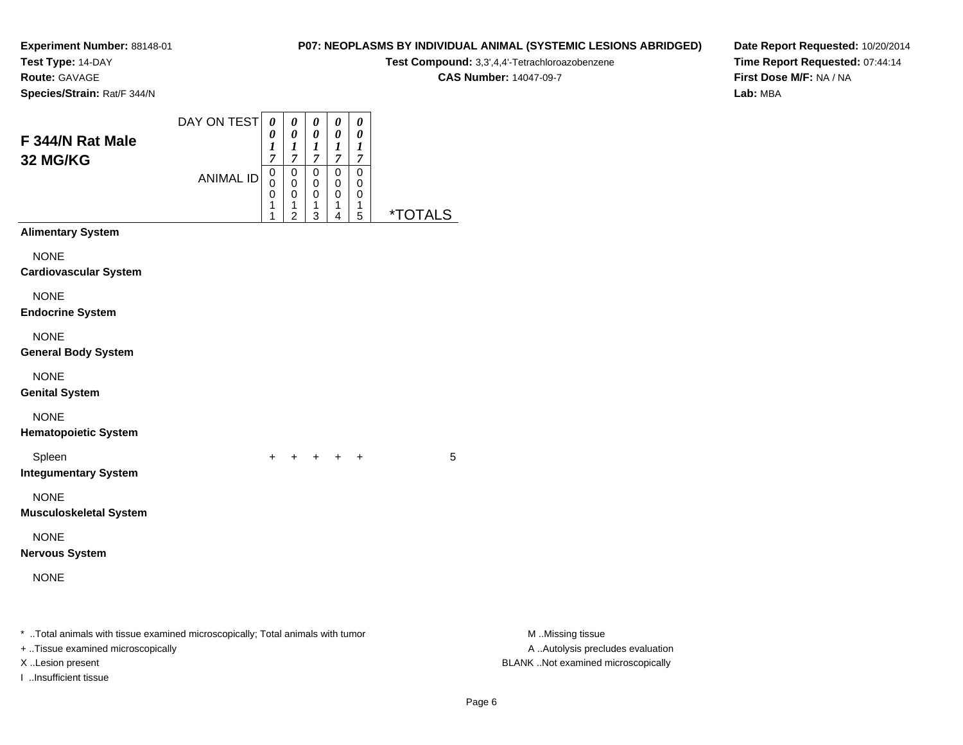**Test Type:** 14-DAY

**Route:** GAVAGE

**Species/Strain:** Rat/F 344/N

# **P07: NEOPLASMS BY INDIVIDUAL ANIMAL (SYSTEMIC LESIONS ABRIDGED)**

**Test Compound:** 3,3',4,4'-Tetrachloroazobenzene

**CAS Number:** 14047-09-7

**Date Report Requested:** 10/20/2014**Time Report Requested:** 07:44:14**First Dose M/F:** NA / NA**Lab:** MBA

| F 344/N Rat Male<br>32 MG/KG                                                                                                                                     | DAY ON TEST<br><b>ANIMAL ID</b> | 0<br>0<br>1<br>$\overline{7}$<br>$\mathbf 0$<br>0<br>0<br>1 | 0<br>0<br>$\boldsymbol{l}$<br>$\overline{7}$<br>$\pmb{0}$<br>$\mathbf 0$<br>0<br>$\mathbf{1}$ | 0<br>0<br>$\boldsymbol{l}$<br>$\boldsymbol{7}$<br>$\mathsf 0$<br>$\pmb{0}$<br>0<br>1 | 0<br>0<br>$\boldsymbol{l}$<br>$\overline{7}$<br>$\pmb{0}$<br>0<br>0<br>$\mathbf{1}$ | 0<br>0<br>1<br>$\overline{7}$<br>$\pmb{0}$<br>0<br>0<br>1 |                       |                                                                                             |
|------------------------------------------------------------------------------------------------------------------------------------------------------------------|---------------------------------|-------------------------------------------------------------|-----------------------------------------------------------------------------------------------|--------------------------------------------------------------------------------------|-------------------------------------------------------------------------------------|-----------------------------------------------------------|-----------------------|---------------------------------------------------------------------------------------------|
| <b>Alimentary System</b>                                                                                                                                         |                                 | 1                                                           | $\overline{c}$                                                                                | 3                                                                                    | 4                                                                                   | 5                                                         | <i><b>*TOTALS</b></i> |                                                                                             |
| <b>NONE</b><br><b>Cardiovascular System</b>                                                                                                                      |                                 |                                                             |                                                                                               |                                                                                      |                                                                                     |                                                           |                       |                                                                                             |
| <b>NONE</b><br><b>Endocrine System</b>                                                                                                                           |                                 |                                                             |                                                                                               |                                                                                      |                                                                                     |                                                           |                       |                                                                                             |
| <b>NONE</b><br><b>General Body System</b>                                                                                                                        |                                 |                                                             |                                                                                               |                                                                                      |                                                                                     |                                                           |                       |                                                                                             |
| <b>NONE</b><br><b>Genital System</b>                                                                                                                             |                                 |                                                             |                                                                                               |                                                                                      |                                                                                     |                                                           |                       |                                                                                             |
| <b>NONE</b><br><b>Hematopoietic System</b>                                                                                                                       |                                 |                                                             |                                                                                               |                                                                                      |                                                                                     |                                                           |                       |                                                                                             |
| Spleen<br><b>Integumentary System</b>                                                                                                                            |                                 |                                                             |                                                                                               | $+$                                                                                  | $+$                                                                                 | $\ddot{}$                                                 | 5                     |                                                                                             |
| <b>NONE</b><br><b>Musculoskeletal System</b>                                                                                                                     |                                 |                                                             |                                                                                               |                                                                                      |                                                                                     |                                                           |                       |                                                                                             |
| <b>NONE</b><br><b>Nervous System</b>                                                                                                                             |                                 |                                                             |                                                                                               |                                                                                      |                                                                                     |                                                           |                       |                                                                                             |
| <b>NONE</b>                                                                                                                                                      |                                 |                                                             |                                                                                               |                                                                                      |                                                                                     |                                                           |                       |                                                                                             |
| * Total animals with tissue examined microscopically; Total animals with tumor<br>+ Tissue examined microscopically<br>X Lesion present<br>I Insufficient tissue |                                 |                                                             |                                                                                               |                                                                                      |                                                                                     |                                                           |                       | M Missing tissue<br>A  Autolysis precludes evaluation<br>BLANK Not examined microscopically |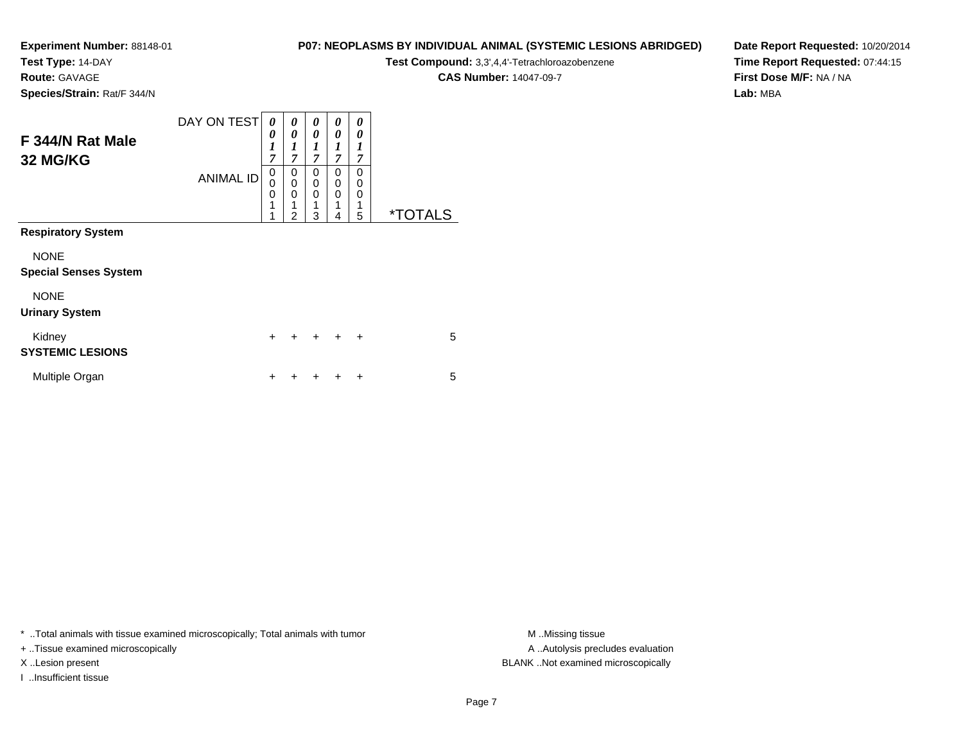**Test Type:** 14-DAY

**Route:** GAVAGE

**Species/Strain:** Rat/F 344/N

#### **P07: NEOPLASMS BY INDIVIDUAL ANIMAL (SYSTEMIC LESIONS ABRIDGED)**

**Test Compound:** 3,3',4,4'-Tetrachloroazobenzene

**CAS Number:** 14047-09-7

**Date Report Requested:** 10/20/2014**Time Report Requested:** 07:44:15**First Dose M/F:** NA / NA**Lab:** MBA

| F 344/N Rat Male<br>32 MG/KG                | DAY ON TEST      | 0<br>0<br>1<br>7      | 0<br>0<br>$\boldsymbol{l}$<br>7                        | 0<br>$\theta$<br>$\boldsymbol{l}$<br>7 | 0<br>0<br>1<br>$\overline{7}$ | 0<br>0<br>1<br>7      |                       |
|---------------------------------------------|------------------|-----------------------|--------------------------------------------------------|----------------------------------------|-------------------------------|-----------------------|-----------------------|
|                                             | <b>ANIMAL ID</b> | 0<br>0<br>0<br>1<br>1 | 0<br>$\mathbf 0$<br>$\mathbf 0$<br>1<br>$\overline{2}$ | $\Omega$<br>0<br>$\Omega$<br>1<br>3    | 0<br>0<br>0<br>1<br>4         | 0<br>0<br>0<br>1<br>5 | <i><b>*TOTALS</b></i> |
| <b>Respiratory System</b>                   |                  |                       |                                                        |                                        |                               |                       |                       |
| <b>NONE</b><br><b>Special Senses System</b> |                  |                       |                                                        |                                        |                               |                       |                       |
| <b>NONE</b><br><b>Urinary System</b>        |                  |                       |                                                        |                                        |                               |                       |                       |
| Kidney<br><b>SYSTEMIC LESIONS</b>           |                  | $\ddot{}$             | $\ddot{}$                                              | $\ddot{}$                              | $\ddot{}$                     | $\ddot{}$             | 5                     |
| Multiple Organ                              |                  | ÷                     |                                                        |                                        |                               | ÷                     | 5                     |

\* ..Total animals with tissue examined microscopically; Total animals with tumor **M** . Missing tissue M ..Missing tissue

+ ..Tissue examined microscopically

I ..Insufficient tissue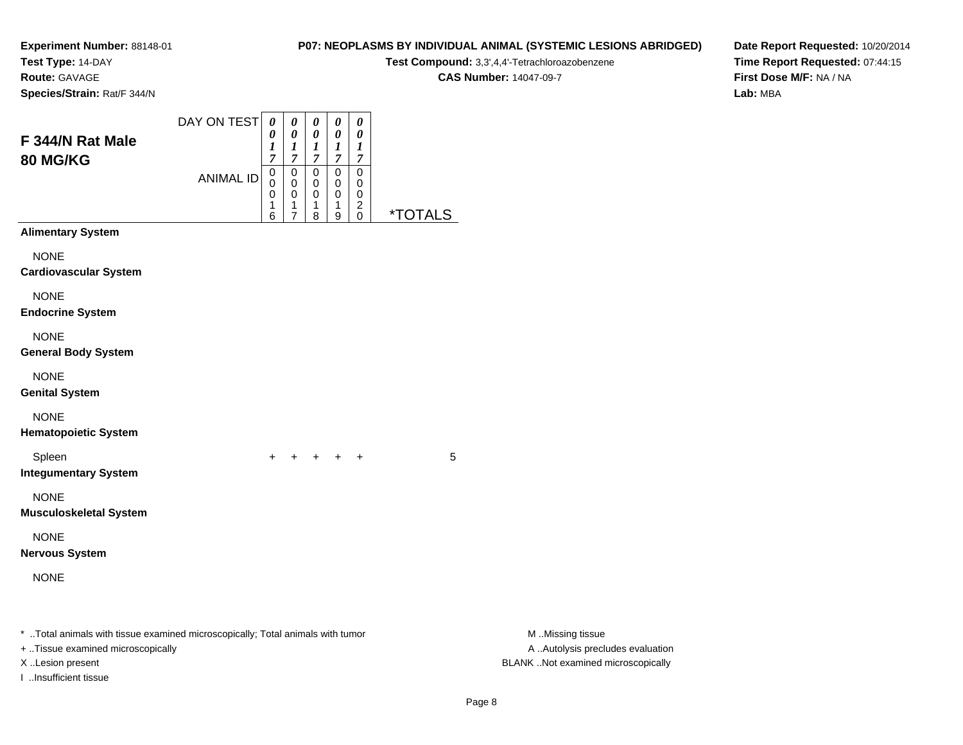**Test Type:** 14-DAY

**Route:** GAVAGE

**Species/Strain:** Rat/F 344/N

# **P07: NEOPLASMS BY INDIVIDUAL ANIMAL (SYSTEMIC LESIONS ABRIDGED)**

**Test Compound:** 3,3',4,4'-Tetrachloroazobenzene

**CAS Number:** 14047-09-7

**Date Report Requested:** 10/20/2014**Time Report Requested:** 07:44:15**First Dose M/F:** NA / NA**Lab:** MBA

| F 344/N Rat Male<br>80 MG/KG                                                                                                                                     | DAY ON TEST      | 0<br>0<br>1<br>$\overline{7}$ | 0<br>$\pmb{\theta}$<br>$\boldsymbol{l}$<br>$\boldsymbol{7}$             | 0<br>$\pmb{\theta}$<br>$\boldsymbol{l}$<br>$\overline{7}$ | 0<br>$\pmb{\theta}$<br>$\boldsymbol{l}$<br>$\boldsymbol{7}$ | 0<br>$\pmb{\theta}$<br>$\boldsymbol{l}$<br>$\overline{7}$      |                              |                                                                                             |
|------------------------------------------------------------------------------------------------------------------------------------------------------------------|------------------|-------------------------------|-------------------------------------------------------------------------|-----------------------------------------------------------|-------------------------------------------------------------|----------------------------------------------------------------|------------------------------|---------------------------------------------------------------------------------------------|
|                                                                                                                                                                  | <b>ANIMAL ID</b> | $\pmb{0}$<br>0<br>0<br>1<br>6 | $\pmb{0}$<br>$\mathbf 0$<br>$\pmb{0}$<br>$\mathbf{1}$<br>$\overline{7}$ | $\pmb{0}$<br>$\mathbf 0$<br>$\,0\,$<br>$\mathbf{1}$<br>8  | $\mathbf 0$<br>0<br>$\pmb{0}$<br>$\mathbf{1}$<br>9          | $\mathbf 0$<br>0<br>$\pmb{0}$<br>$\overline{c}$<br>$\mathbf 0$ | <u><i><b>*TOTALS</b></i></u> |                                                                                             |
| <b>Alimentary System</b>                                                                                                                                         |                  |                               |                                                                         |                                                           |                                                             |                                                                |                              |                                                                                             |
| <b>NONE</b><br><b>Cardiovascular System</b>                                                                                                                      |                  |                               |                                                                         |                                                           |                                                             |                                                                |                              |                                                                                             |
| <b>NONE</b><br><b>Endocrine System</b>                                                                                                                           |                  |                               |                                                                         |                                                           |                                                             |                                                                |                              |                                                                                             |
| <b>NONE</b><br><b>General Body System</b>                                                                                                                        |                  |                               |                                                                         |                                                           |                                                             |                                                                |                              |                                                                                             |
| <b>NONE</b><br><b>Genital System</b>                                                                                                                             |                  |                               |                                                                         |                                                           |                                                             |                                                                |                              |                                                                                             |
| <b>NONE</b><br><b>Hematopoietic System</b>                                                                                                                       |                  |                               |                                                                         |                                                           |                                                             |                                                                |                              |                                                                                             |
| Spleen<br><b>Integumentary System</b>                                                                                                                            |                  |                               |                                                                         | $+$                                                       | $+$                                                         | $\ddot{}$                                                      | 5                            |                                                                                             |
| <b>NONE</b><br><b>Musculoskeletal System</b>                                                                                                                     |                  |                               |                                                                         |                                                           |                                                             |                                                                |                              |                                                                                             |
| <b>NONE</b><br><b>Nervous System</b>                                                                                                                             |                  |                               |                                                                         |                                                           |                                                             |                                                                |                              |                                                                                             |
| <b>NONE</b>                                                                                                                                                      |                  |                               |                                                                         |                                                           |                                                             |                                                                |                              |                                                                                             |
| * Total animals with tissue examined microscopically; Total animals with tumor<br>+ Tissue examined microscopically<br>X Lesion present<br>I Insufficient tissue |                  |                               |                                                                         |                                                           |                                                             |                                                                |                              | M Missing tissue<br>A  Autolysis precludes evaluation<br>BLANK Not examined microscopically |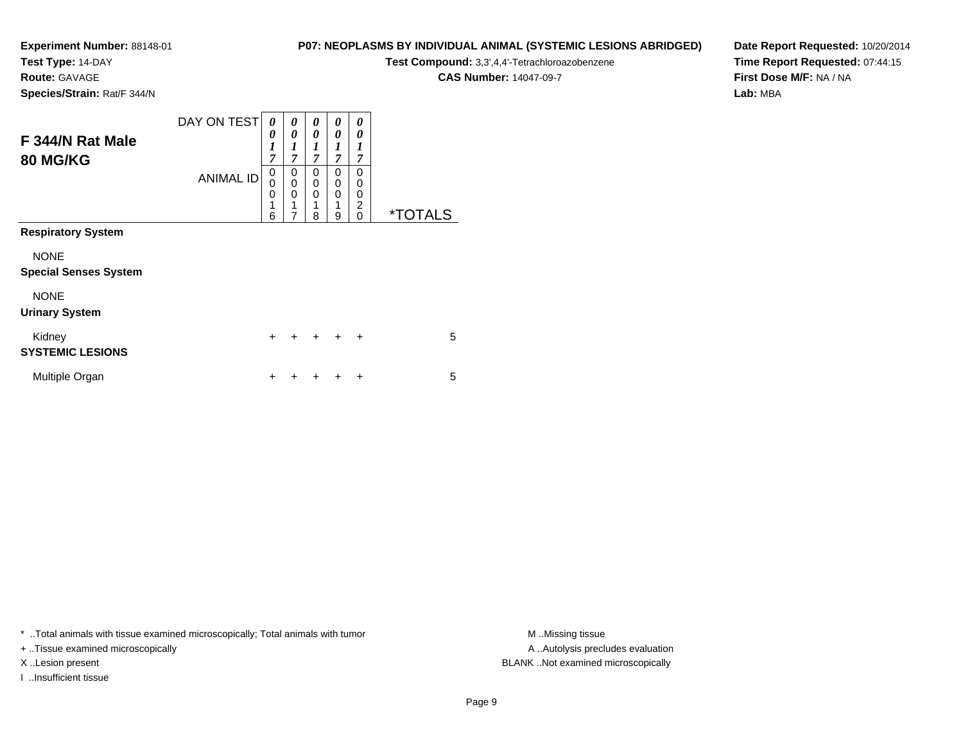**Test Type:** 14-DAY

**Route:** GAVAGE

**Species/Strain:** Rat/F 344/N

#### **P07: NEOPLASMS BY INDIVIDUAL ANIMAL (SYSTEMIC LESIONS ABRIDGED)**

**Test Compound:** 3,3',4,4'-Tetrachloroazobenzene

**CAS Number:** 14047-09-7

**Date Report Requested:** 10/20/2014**Time Report Requested:** 07:44:15**First Dose M/F:** NA / NA**Lab:** MBA

| F 344/N Rat Male<br><b>80 MG/KG</b>         | DAY ON TEST      | 0<br>0<br>1<br>7      | 0<br>0<br>$\boldsymbol{l}$<br>$\overline{7}$           | 0<br>$\theta$<br>$\boldsymbol{l}$<br>7 | 0<br>0<br>1<br>7      | 0<br>0<br>1<br>7                   |                       |
|---------------------------------------------|------------------|-----------------------|--------------------------------------------------------|----------------------------------------|-----------------------|------------------------------------|-----------------------|
|                                             | <b>ANIMAL ID</b> | 0<br>0<br>0<br>1<br>6 | 0<br>$\mathbf 0$<br>$\mathbf 0$<br>1<br>$\overline{7}$ | 0<br>0<br>$\mathbf 0$<br>1<br>8        | 0<br>0<br>0<br>1<br>9 | 0<br>0<br>0<br>$\overline{c}$<br>0 | <i><b>*TOTALS</b></i> |
| <b>Respiratory System</b>                   |                  |                       |                                                        |                                        |                       |                                    |                       |
| <b>NONE</b><br><b>Special Senses System</b> |                  |                       |                                                        |                                        |                       |                                    |                       |
| <b>NONE</b><br><b>Urinary System</b>        |                  |                       |                                                        |                                        |                       |                                    |                       |
| Kidney<br><b>SYSTEMIC LESIONS</b>           |                  | $\ddot{}$             | $\ddot{}$                                              | $\ddot{}$                              | $\ddot{}$             | $\ddot{}$                          | 5                     |
| Multiple Organ                              |                  | ÷                     |                                                        |                                        |                       | ÷                                  | 5                     |

\* ..Total animals with tissue examined microscopically; Total animals with tumor **M** . Missing tissue M ..Missing tissue

+ ..Tissue examined microscopically

I ..Insufficient tissue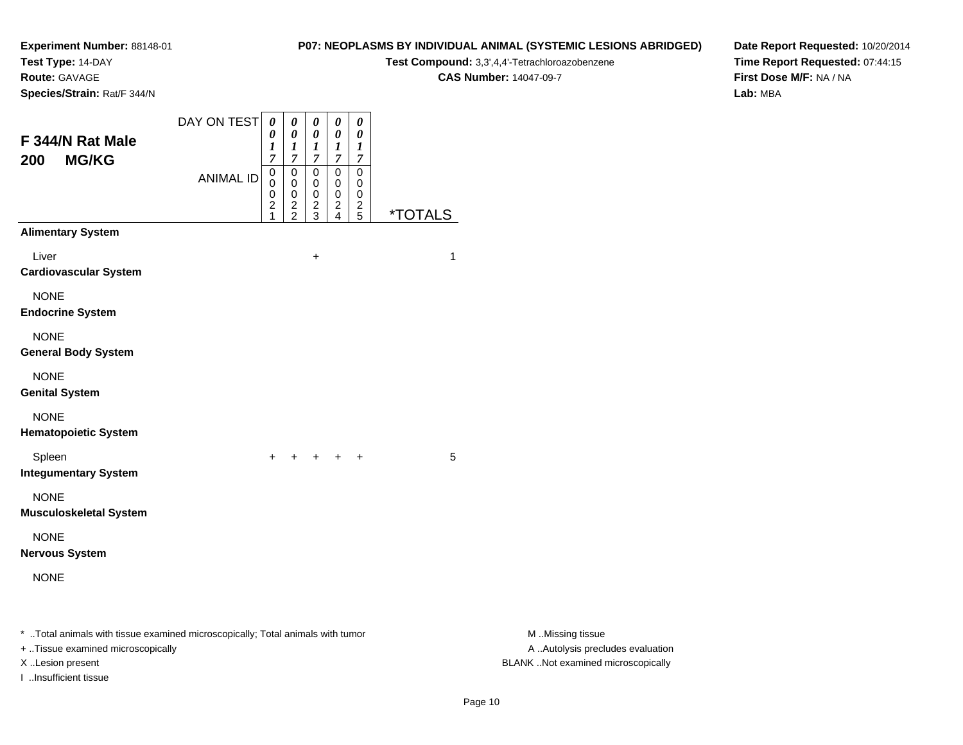**Test Type:** 14-DAY

**Route:** GAVAGE

**Species/Strain:** Rat/F 344/N

#### **P07: NEOPLASMS BY INDIVIDUAL ANIMAL (SYSTEMIC LESIONS ABRIDGED)**

**Test Compound:** 3,3',4,4'-Tetrachloroazobenzene

**CAS Number:** 14047-09-7

**Date Report Requested:** 10/20/2014**Time Report Requested:** 07:44:15**First Dose M/F:** NA / NA**Lab:** MBA

| F 344/N Rat Male<br><b>MG/KG</b><br>200                                                                             | DAY ON TEST<br><b>ANIMAL ID</b> | $\boldsymbol{\theta}$<br>0<br>1<br>$\overline{7}$<br>0<br>0<br>0<br>$\overline{\mathbf{c}}$ | 0<br>0<br>1<br>7<br>0<br>0<br>0 | 0<br>$\pmb{\theta}$<br>$\boldsymbol{l}$<br>$\overline{7}$<br>0<br>0<br>0<br>$\overline{\mathbf{c}}$ | $\pmb{\theta}$<br>$\boldsymbol{\theta}$<br>$\boldsymbol{l}$<br>$\overline{7}$<br>$\pmb{0}$<br>0<br>0<br>$\frac{2}{4}$ | $\pmb{\theta}$<br>0<br>$\boldsymbol{l}$<br>$\overline{7}$<br>$\pmb{0}$<br>0<br>0<br>$\frac{2}{5}$ |                       |                                                       |
|---------------------------------------------------------------------------------------------------------------------|---------------------------------|---------------------------------------------------------------------------------------------|---------------------------------|-----------------------------------------------------------------------------------------------------|-----------------------------------------------------------------------------------------------------------------------|---------------------------------------------------------------------------------------------------|-----------------------|-------------------------------------------------------|
| <b>Alimentary System</b>                                                                                            |                                 |                                                                                             | $\frac{2}{2}$                   | $\mathbf{3}$                                                                                        |                                                                                                                       |                                                                                                   | <i><b>*TOTALS</b></i> |                                                       |
| Liver<br><b>Cardiovascular System</b><br><b>NONE</b>                                                                |                                 |                                                                                             |                                 | $\ddot{}$                                                                                           |                                                                                                                       |                                                                                                   | $\mathbf{1}$          |                                                       |
| <b>Endocrine System</b>                                                                                             |                                 |                                                                                             |                                 |                                                                                                     |                                                                                                                       |                                                                                                   |                       |                                                       |
| <b>NONE</b><br><b>General Body System</b>                                                                           |                                 |                                                                                             |                                 |                                                                                                     |                                                                                                                       |                                                                                                   |                       |                                                       |
| <b>NONE</b><br><b>Genital System</b>                                                                                |                                 |                                                                                             |                                 |                                                                                                     |                                                                                                                       |                                                                                                   |                       |                                                       |
| <b>NONE</b><br><b>Hematopoietic System</b>                                                                          |                                 |                                                                                             |                                 |                                                                                                     |                                                                                                                       |                                                                                                   |                       |                                                       |
| Spleen<br><b>Integumentary System</b>                                                                               |                                 |                                                                                             | + + + + +                       |                                                                                                     |                                                                                                                       |                                                                                                   | 5                     |                                                       |
| <b>NONE</b><br><b>Musculoskeletal System</b>                                                                        |                                 |                                                                                             |                                 |                                                                                                     |                                                                                                                       |                                                                                                   |                       |                                                       |
| <b>NONE</b><br><b>Nervous System</b>                                                                                |                                 |                                                                                             |                                 |                                                                                                     |                                                                                                                       |                                                                                                   |                       |                                                       |
| <b>NONE</b>                                                                                                         |                                 |                                                                                             |                                 |                                                                                                     |                                                                                                                       |                                                                                                   |                       |                                                       |
| * Total animals with tissue examined microscopically; Total animals with tumor<br>+ Tissue examined microscopically |                                 |                                                                                             |                                 |                                                                                                     |                                                                                                                       |                                                                                                   |                       | M Missing tissue<br>A  Autolysis precludes evaluation |

I ..Insufficient tissue

M ..Missing tissue X ..Lesion present BLANK ..Not examined microscopically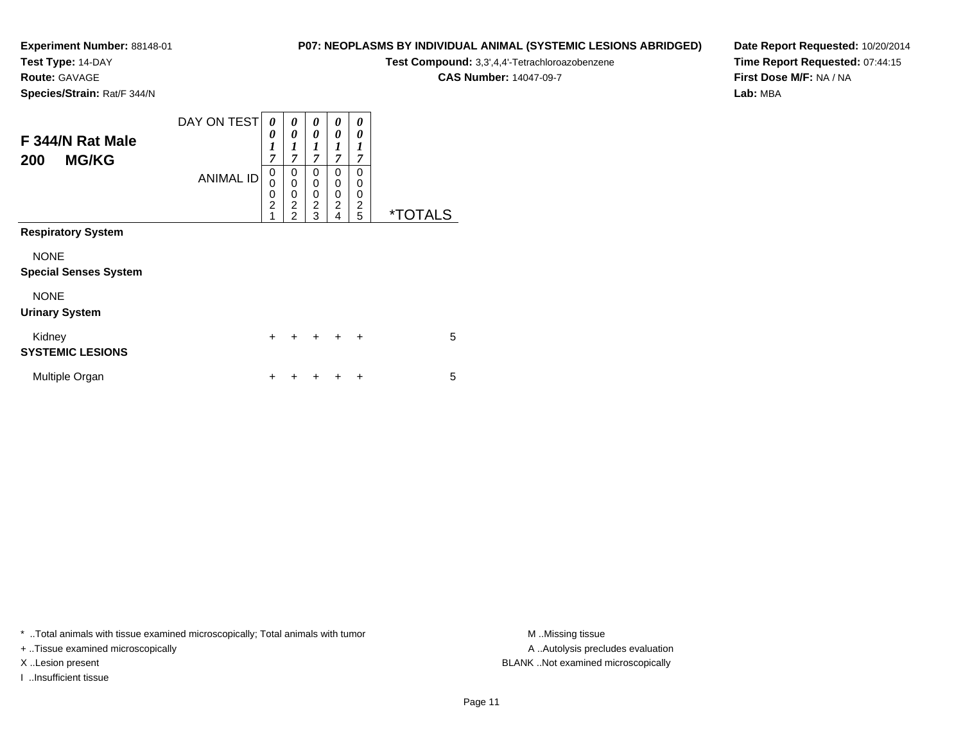**Test Type:** 14-DAY

**Route:** GAVAGE

**Species/Strain:** Rat/F 344/N

# **P07: NEOPLASMS BY INDIVIDUAL ANIMAL (SYSTEMIC LESIONS ABRIDGED)**

**Test Compound:** 3,3',4,4'-Tetrachloroazobenzene

**CAS Number:** 14047-09-7

**Date Report Requested:** 10/20/2014**Time Report Requested:** 07:44:15**First Dose M/F:** NA / NA**Lab:** MBA

| F 344/N Rat Male<br><b>MG/KG</b><br>200     | DAY ON TEST      | 0<br>0<br>$\boldsymbol{l}$<br>7              | 0<br>$\boldsymbol{\theta}$<br>$\boldsymbol{l}$<br>$\overline{7}$ | 0<br>$\boldsymbol{\theta}$<br>$\boldsymbol{l}$<br>7 | 0<br>$\theta$<br>1<br>7                   | 0<br>0<br>1<br>7                          |                       |
|---------------------------------------------|------------------|----------------------------------------------|------------------------------------------------------------------|-----------------------------------------------------|-------------------------------------------|-------------------------------------------|-----------------------|
|                                             | <b>ANIMAL ID</b> | $\mathbf 0$<br>0<br>0<br>$\overline{2}$<br>1 | 0<br>$\mathbf 0$<br>0<br>$\overline{2}$<br>$\overline{2}$        | 0<br>0<br>0<br>$\overline{c}$<br>3                  | $\Omega$<br>0<br>0<br>$\overline{2}$<br>4 | $\Omega$<br>0<br>0<br>$\overline{2}$<br>5 | <i><b>*TOTALS</b></i> |
| <b>Respiratory System</b>                   |                  |                                              |                                                                  |                                                     |                                           |                                           |                       |
| <b>NONE</b><br><b>Special Senses System</b> |                  |                                              |                                                                  |                                                     |                                           |                                           |                       |
| <b>NONE</b><br><b>Urinary System</b>        |                  |                                              |                                                                  |                                                     |                                           |                                           |                       |
| Kidney<br><b>SYSTEMIC LESIONS</b>           |                  | $\ddot{}$                                    | $\ddot{}$                                                        | $+$                                                 | $\ddot{}$                                 | $\ddot{}$                                 | 5                     |
| Multiple Organ                              |                  | +                                            |                                                                  |                                                     |                                           | ٠                                         | 5                     |

\* ..Total animals with tissue examined microscopically; Total animals with tumor **M** . Missing tissue M ..Missing tissue

+ ..Tissue examined microscopically

I ..Insufficient tissue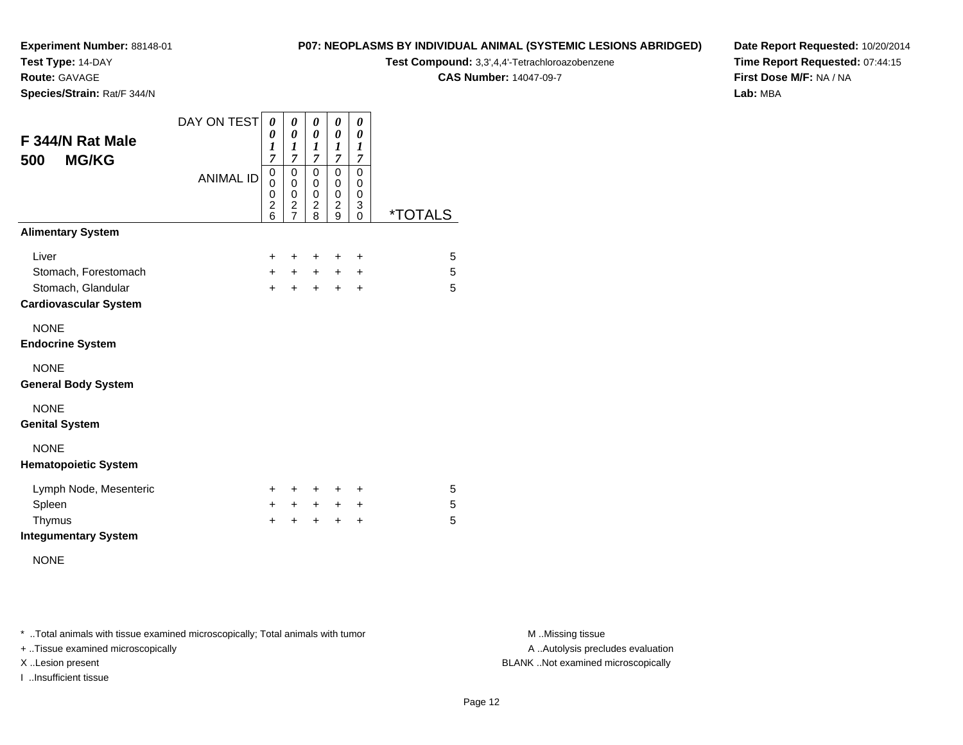**Test Type:** 14-DAY

**Route:** GAVAGE

**Species/Strain:** Rat/F 344/N

#### **P07: NEOPLASMS BY INDIVIDUAL ANIMAL (SYSTEMIC LESIONS ABRIDGED)**

**Test Compound:** 3,3',4,4'-Tetrachloroazobenzene

**CAS Number:** 14047-09-7

**Date Report Requested:** 10/20/2014**Time Report Requested:** 07:44:15**First Dose M/F:** NA / NA**Lab:** MBA

| F 344/N Rat Male<br><b>MG/KG</b><br>500            | DAY ON TEST      | 0<br>0<br>$\boldsymbol{l}$<br>7                       | 0<br>$\pmb{\theta}$<br>1<br>7                                         | 0<br>$\pmb{\theta}$<br>1<br>7                                   | 0<br>$\boldsymbol{\theta}$<br>$\boldsymbol{l}$<br>7                       | 0<br>0<br>1<br>7                |                       |
|----------------------------------------------------|------------------|-------------------------------------------------------|-----------------------------------------------------------------------|-----------------------------------------------------------------|---------------------------------------------------------------------------|---------------------------------|-----------------------|
|                                                    | <b>ANIMAL ID</b> | $\mathbf 0$<br>0<br>0<br>$\overline{\mathbf{c}}$<br>6 | $\mathbf 0$<br>$\mathbf 0$<br>0<br>$\boldsymbol{2}$<br>$\overline{7}$ | $\mathbf 0$<br>$\mathsf 0$<br>0<br>$\overline{\mathbf{c}}$<br>8 | $\mathbf 0$<br>$\mathbf 0$<br>$\mathbf 0$<br>$\overline{\mathbf{c}}$<br>9 | $\mathbf 0$<br>0<br>0<br>3<br>0 | <i><b>*TOTALS</b></i> |
| <b>Alimentary System</b>                           |                  |                                                       |                                                                       |                                                                 |                                                                           |                                 |                       |
| Liver                                              |                  | $\pm$                                                 | ÷                                                                     | +                                                               | +                                                                         | +                               | 5                     |
| Stomach, Forestomach                               |                  | $+$                                                   | $+$                                                                   | $\ddot{}$                                                       | $\pm$                                                                     | $\ddot{}$                       | 5                     |
| Stomach, Glandular<br><b>Cardiovascular System</b> |                  | $\ddot{}$                                             | $\ddot{}$                                                             | $\ddot{}$                                                       | $\ddot{}$                                                                 | +                               | 5                     |
| <b>NONE</b><br><b>Endocrine System</b>             |                  |                                                       |                                                                       |                                                                 |                                                                           |                                 |                       |
| <b>NONE</b><br><b>General Body System</b>          |                  |                                                       |                                                                       |                                                                 |                                                                           |                                 |                       |
| <b>NONE</b><br><b>Genital System</b>               |                  |                                                       |                                                                       |                                                                 |                                                                           |                                 |                       |
| <b>NONE</b><br><b>Hematopoietic System</b>         |                  |                                                       |                                                                       |                                                                 |                                                                           |                                 |                       |
| Lymph Node, Mesenteric                             |                  | $\pm$                                                 | ÷                                                                     | +                                                               | ÷                                                                         | ٠                               | 5                     |
| Spleen                                             |                  | $\pm$                                                 | $\pm$                                                                 | $\ddot{}$                                                       | $\ddot{}$                                                                 | +                               | 5                     |
| Thymus<br><b>Integumentary System</b>              |                  | +                                                     | +                                                                     | +                                                               | +                                                                         | +                               | 5                     |
|                                                    |                  |                                                       |                                                                       |                                                                 |                                                                           |                                 |                       |

NONE

\* ..Total animals with tissue examined microscopically; Total animals with tumor **M** . Missing tissue M ..Missing tissue

+ ..Tissue examined microscopically

I ..Insufficient tissue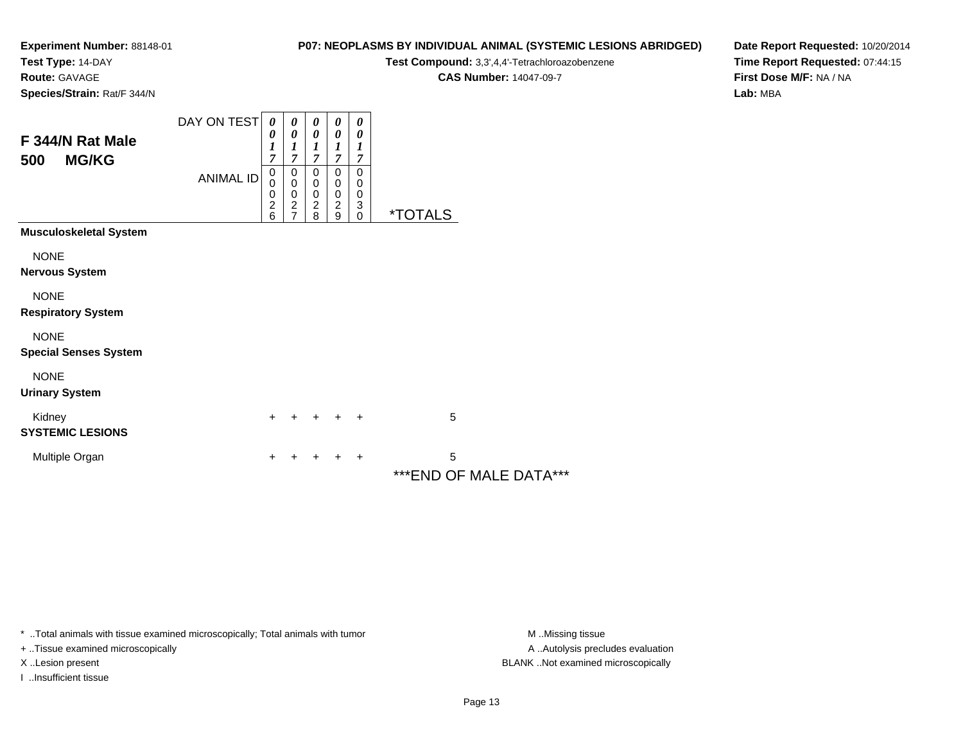**Test Type:** 14-DAY

**Route:** GAVAGE

**Species/Strain:** Rat/F 344/N

#### **P07: NEOPLASMS BY INDIVIDUAL ANIMAL (SYSTEMIC LESIONS ABRIDGED)**

**Test Compound:** 3,3',4,4'-Tetrachloroazobenzene

**CAS Number:** 14047-09-7

**Date Report Requested:** 10/20/2014**Time Report Requested:** 07:44:15**First Dose M/F:** NA / NA**Lab:** MBA

| F 344/N Rat Male                     | DAY ON TEST      | $\boldsymbol{\theta}$<br>0                               | 0<br>0                     | 0<br>0                           | 0<br>0                                            | 0<br>0           |                              |  |
|--------------------------------------|------------------|----------------------------------------------------------|----------------------------|----------------------------------|---------------------------------------------------|------------------|------------------------------|--|
| <b>MG/KG</b><br>500                  | <b>ANIMAL ID</b> | $\boldsymbol{l}$<br>7<br>$\boldsymbol{0}$<br>$\mathbf 0$ | 1<br>7<br>0<br>$\mathbf 0$ | 1<br>7<br>$\pmb{0}$<br>$\pmb{0}$ | 1<br>7<br>$\pmb{0}$<br>0                          | 1<br>7<br>0<br>0 |                              |  |
|                                      |                  | $\begin{array}{c} 0 \\ 2 \\ 6 \end{array}$               | 0<br>$\frac{2}{7}$         | $\pmb{0}$<br>$\frac{2}{8}$       | $\pmb{0}$<br>$\boldsymbol{2}$<br>$\boldsymbol{9}$ | 0<br>3<br>0      | <i><b>*TOTALS</b></i>        |  |
| <b>Musculoskeletal System</b>        |                  |                                                          |                            |                                  |                                                   |                  |                              |  |
| <b>NONE</b>                          |                  |                                                          |                            |                                  |                                                   |                  |                              |  |
| <b>Nervous System</b>                |                  |                                                          |                            |                                  |                                                   |                  |                              |  |
| <b>NONE</b>                          |                  |                                                          |                            |                                  |                                                   |                  |                              |  |
| <b>Respiratory System</b>            |                  |                                                          |                            |                                  |                                                   |                  |                              |  |
| <b>NONE</b>                          |                  |                                                          |                            |                                  |                                                   |                  |                              |  |
| <b>Special Senses System</b>         |                  |                                                          |                            |                                  |                                                   |                  |                              |  |
| <b>NONE</b><br><b>Urinary System</b> |                  |                                                          |                            |                                  |                                                   |                  |                              |  |
| Kidney                               |                  | +                                                        |                            |                                  | $+$                                               | $\ddot{}$        | 5                            |  |
| <b>SYSTEMIC LESIONS</b>              |                  |                                                          |                            |                                  |                                                   |                  |                              |  |
| Multiple Organ                       |                  | +                                                        |                            |                                  |                                                   | +                | 5<br>*** END OF MALE DATA*** |  |

\* ..Total animals with tissue examined microscopically; Total animals with tumor **M** . Missing tissue M ..Missing tissue

+ ..Tissue examined microscopically

I ..Insufficient tissue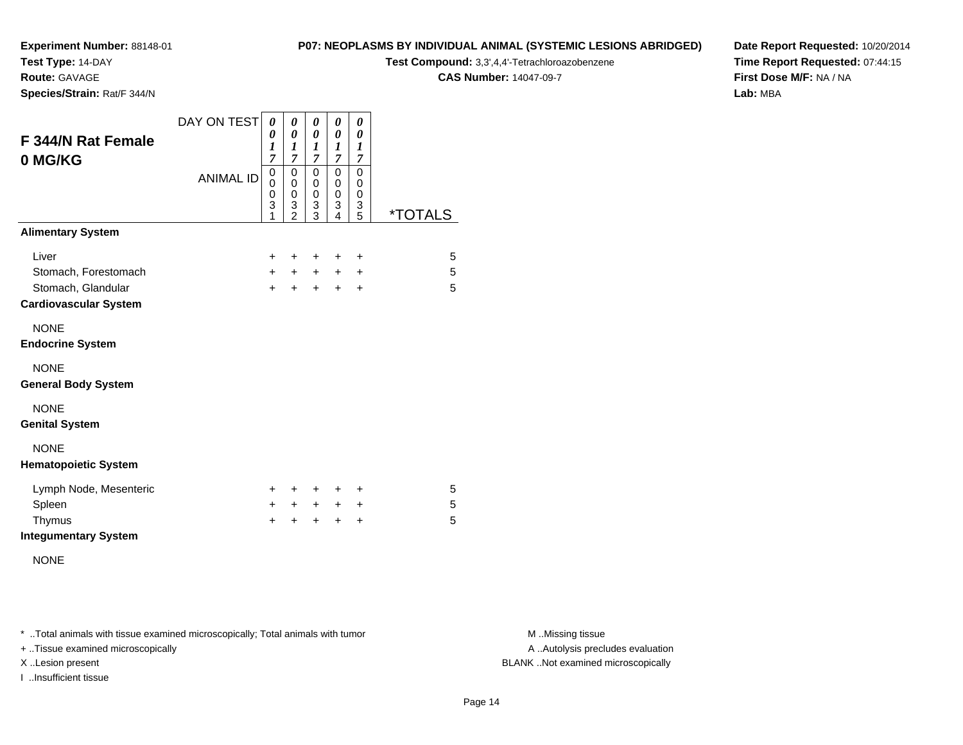**Test Type:** 14-DAY

**Route:** GAVAGE

**Species/Strain:** Rat/F 344/N

#### **P07: NEOPLASMS BY INDIVIDUAL ANIMAL (SYSTEMIC LESIONS ABRIDGED)**

**Test Compound:** 3,3',4,4'-Tetrachloroazobenzene

**CAS Number:** 14047-09-7

**Date Report Requested:** 10/20/2014**Time Report Requested:** 07:44:15**First Dose M/F:** NA / NA**Lab:** MBA

| <b>F 344/N Rat Female</b><br>0 MG/KG               | DAY ON TEST      | 0<br>0<br>1<br>7                | 0<br>$\pmb{\theta}$<br>1<br>$\overline{7}$   | 0<br>0<br>1<br>$\overline{7}$ | 0<br>$\boldsymbol{\theta}$<br>1<br>$\overline{7}$ | 0<br>0<br>1<br>7      |                       |
|----------------------------------------------------|------------------|---------------------------------|----------------------------------------------|-------------------------------|---------------------------------------------------|-----------------------|-----------------------|
|                                                    | <b>ANIMAL ID</b> | 0<br>$\mathbf 0$<br>0<br>3<br>1 | $\mathbf 0$<br>0<br>0<br>3<br>$\overline{2}$ | 0<br>0<br>0<br>3<br>3         | 0<br>0<br>0<br>3<br>4                             | 0<br>0<br>0<br>3<br>5 | <i><b>*TOTALS</b></i> |
| <b>Alimentary System</b>                           |                  |                                 |                                              |                               |                                                   |                       |                       |
| Liver                                              |                  | $\pm$                           | ÷                                            | ÷                             | ÷                                                 | ÷                     | 5                     |
| Stomach, Forestomach                               |                  | $\ddot{}$                       | $\ddot{}$                                    | $\ddot{}$                     | $\ddot{}$                                         | $\ddot{}$             | 5                     |
| Stomach, Glandular<br><b>Cardiovascular System</b> |                  | $+$                             | $\ddot{}$                                    | $+$                           | $+$                                               | $\ddot{}$             | 5                     |
| <b>NONE</b><br><b>Endocrine System</b>             |                  |                                 |                                              |                               |                                                   |                       |                       |
| <b>NONE</b><br><b>General Body System</b>          |                  |                                 |                                              |                               |                                                   |                       |                       |
| <b>NONE</b><br><b>Genital System</b>               |                  |                                 |                                              |                               |                                                   |                       |                       |
| <b>NONE</b><br><b>Hematopoietic System</b>         |                  |                                 |                                              |                               |                                                   |                       |                       |
| Lymph Node, Mesenteric                             |                  | ÷.                              | ÷                                            | ÷                             | ÷                                                 | ÷                     | 5                     |
| Spleen                                             |                  | $+$                             | $+$                                          | $\ddot{}$                     | $+$                                               | $\ddot{}$             | 5                     |
| Thymus                                             |                  | $\div$                          | +                                            | $\ddot{}$                     | $\ddot{}$                                         | $\ddot{}$             | 5                     |
| <b>Integumentary System</b>                        |                  |                                 |                                              |                               |                                                   |                       |                       |

NONE

\* ..Total animals with tissue examined microscopically; Total animals with tumor **M** . Missing tissue M ..Missing tissue

+ ..Tissue examined microscopically

I ..Insufficient tissue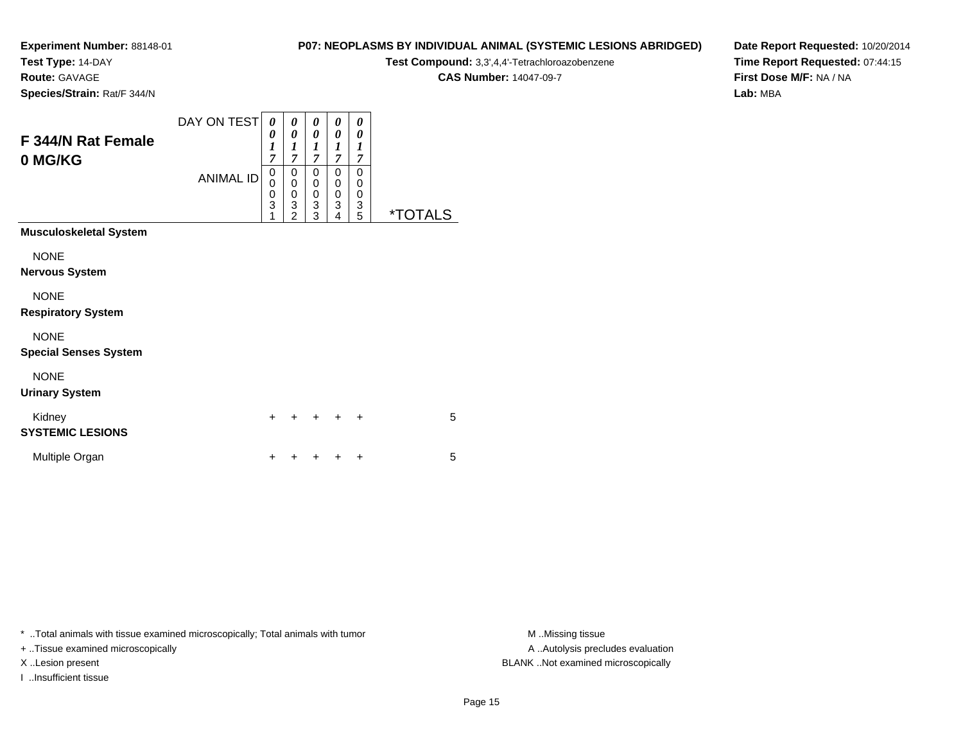**Test Type:** 14-DAY

**Route:** GAVAGE

**Species/Strain:** Rat/F 344/N

# **P07: NEOPLASMS BY INDIVIDUAL ANIMAL (SYSTEMIC LESIONS ABRIDGED)**

**Test Compound:** 3,3',4,4'-Tetrachloroazobenzene

**CAS Number:** 14047-09-7

**Date Report Requested:** 10/20/2014**Time Report Requested:** 07:44:15**First Dose M/F:** NA / NA**Lab:** MBA

| F 344/N Rat Female<br>0 MG/KG     | DAY ON TEST<br><b>ANIMAL ID</b> | 0<br>0<br>$\boldsymbol{l}$<br>7<br>$\mathbf 0$<br>$\overline{0}$<br>0<br>3<br>1 | 0<br>$\boldsymbol{\theta}$<br>$\boldsymbol{l}$<br>$\overline{7}$<br>0<br>$\bar{0}$<br>$\mathbf 0$<br>$\frac{3}{2}$ | 0<br>0<br>$\boldsymbol{l}$<br>$\overline{7}$<br>0<br>$\boldsymbol{0}$<br>$\boldsymbol{0}$<br>3<br>3 | 0<br>0<br>1<br>$\overline{\mathcal{I}}$<br>$\mathbf 0$<br>$\mathbf 0$<br>$\pmb{0}$<br>3<br>4 | 0<br>0<br>1<br>7<br>0<br>0<br>0<br>3<br>5 | <i><b>*TOTALS</b></i> |
|-----------------------------------|---------------------------------|---------------------------------------------------------------------------------|--------------------------------------------------------------------------------------------------------------------|-----------------------------------------------------------------------------------------------------|----------------------------------------------------------------------------------------------|-------------------------------------------|-----------------------|
| <b>Musculoskeletal System</b>     |                                 |                                                                                 |                                                                                                                    |                                                                                                     |                                                                                              |                                           |                       |
| <b>NONE</b>                       |                                 |                                                                                 |                                                                                                                    |                                                                                                     |                                                                                              |                                           |                       |
| <b>Nervous System</b>             |                                 |                                                                                 |                                                                                                                    |                                                                                                     |                                                                                              |                                           |                       |
| <b>NONE</b>                       |                                 |                                                                                 |                                                                                                                    |                                                                                                     |                                                                                              |                                           |                       |
| <b>Respiratory System</b>         |                                 |                                                                                 |                                                                                                                    |                                                                                                     |                                                                                              |                                           |                       |
| <b>NONE</b>                       |                                 |                                                                                 |                                                                                                                    |                                                                                                     |                                                                                              |                                           |                       |
| <b>Special Senses System</b>      |                                 |                                                                                 |                                                                                                                    |                                                                                                     |                                                                                              |                                           |                       |
| <b>NONE</b>                       |                                 |                                                                                 |                                                                                                                    |                                                                                                     |                                                                                              |                                           |                       |
| <b>Urinary System</b>             |                                 |                                                                                 |                                                                                                                    |                                                                                                     |                                                                                              |                                           |                       |
| Kidney<br><b>SYSTEMIC LESIONS</b> |                                 | $\ddot{}$                                                                       |                                                                                                                    |                                                                                                     |                                                                                              |                                           | 5                     |
| Multiple Organ                    |                                 | $\ddot{}$                                                                       |                                                                                                                    |                                                                                                     |                                                                                              | +                                         | 5                     |

\* ..Total animals with tissue examined microscopically; Total animals with tumor **M** . Missing tissue M ..Missing tissue

+ ..Tissue examined microscopically

I ..Insufficient tissue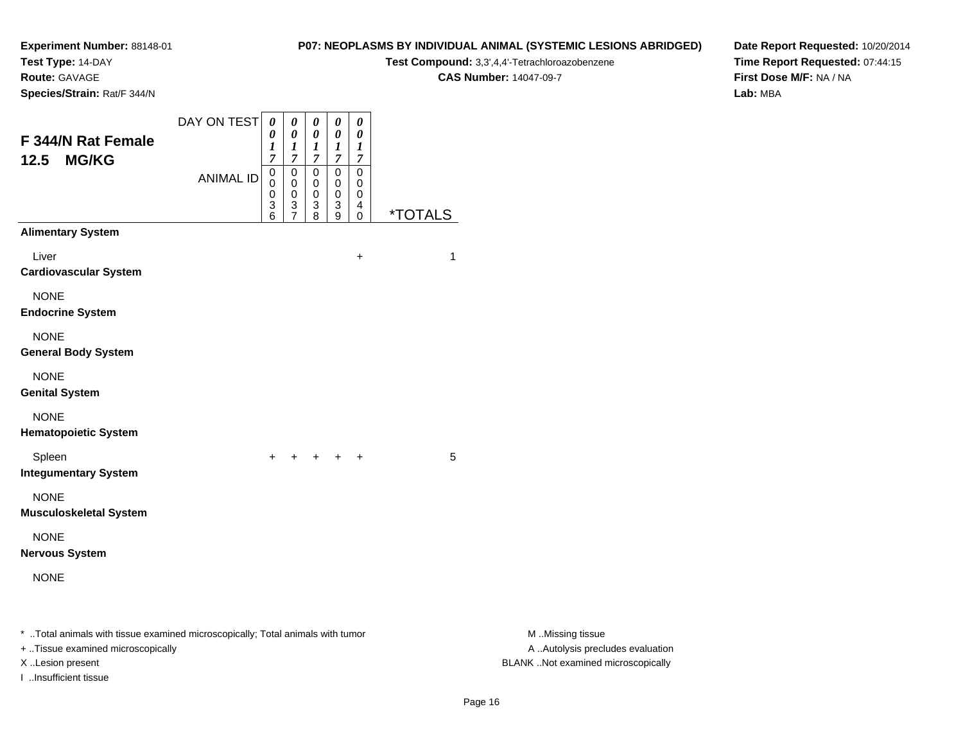**Test Type:** 14-DAY

**Route:** GAVAGE

I ..Insufficient tissue

**Species/Strain:** Rat/F 344/N

#### **P07: NEOPLASMS BY INDIVIDUAL ANIMAL (SYSTEMIC LESIONS ABRIDGED)**

**Test Compound:** 3,3',4,4'-Tetrachloroazobenzene

**CAS Number:** 14047-09-7

**Date Report Requested:** 10/20/2014**Time Report Requested:** 07:44:15**First Dose M/F:** NA / NA**Lab:** MBA

| F 344/N Rat Female<br><b>MG/KG</b><br>12.5                                                                          | DAY ON TEST<br><b>ANIMAL ID</b> | $\pmb{\theta}$<br>0<br>$\boldsymbol{l}$<br>$\overline{7}$<br>$\mathbf 0$<br>0<br>0<br>$\ensuremath{\mathsf{3}}$ | $\boldsymbol{\theta}$<br>0<br>1<br>$\overline{7}$<br>$\overline{0}$<br>$\mathbf 0$<br>$\pmb{0}$<br>3<br>$\overline{7}$ | $\pmb{\theta}$<br>0<br>$\boldsymbol{l}$<br>$\overline{7}$<br>$\mathbf 0$<br>$\mathbf 0$<br>$\mathbf 0$<br>3 | $\boldsymbol{\theta}$<br>0<br>$\boldsymbol{l}$<br>$\overline{7}$<br>$\overline{0}$<br>$\mathbf 0$<br>$\pmb{0}$<br>$\ensuremath{\mathsf{3}}$ | $\pmb{\theta}$<br>0<br>1<br>$\overline{7}$<br>$\mathbf 0$<br>0<br>0<br>4 | <i><b>*TOTALS</b></i> |                                                       |
|---------------------------------------------------------------------------------------------------------------------|---------------------------------|-----------------------------------------------------------------------------------------------------------------|------------------------------------------------------------------------------------------------------------------------|-------------------------------------------------------------------------------------------------------------|---------------------------------------------------------------------------------------------------------------------------------------------|--------------------------------------------------------------------------|-----------------------|-------------------------------------------------------|
| <b>Alimentary System</b>                                                                                            |                                 | 6                                                                                                               |                                                                                                                        | 8                                                                                                           | $\overline{9}$                                                                                                                              | $\mathbf 0$                                                              |                       |                                                       |
| Liver<br><b>Cardiovascular System</b>                                                                               |                                 |                                                                                                                 |                                                                                                                        |                                                                                                             |                                                                                                                                             | $\ddot{}$                                                                | 1                     |                                                       |
| <b>NONE</b><br><b>Endocrine System</b>                                                                              |                                 |                                                                                                                 |                                                                                                                        |                                                                                                             |                                                                                                                                             |                                                                          |                       |                                                       |
| <b>NONE</b><br><b>General Body System</b>                                                                           |                                 |                                                                                                                 |                                                                                                                        |                                                                                                             |                                                                                                                                             |                                                                          |                       |                                                       |
| <b>NONE</b><br><b>Genital System</b>                                                                                |                                 |                                                                                                                 |                                                                                                                        |                                                                                                             |                                                                                                                                             |                                                                          |                       |                                                       |
| <b>NONE</b><br><b>Hematopoietic System</b>                                                                          |                                 |                                                                                                                 |                                                                                                                        |                                                                                                             |                                                                                                                                             |                                                                          |                       |                                                       |
| Spleen<br><b>Integumentary System</b>                                                                               |                                 | $+$                                                                                                             |                                                                                                                        | + + + +                                                                                                     |                                                                                                                                             |                                                                          | 5                     |                                                       |
| <b>NONE</b><br><b>Musculoskeletal System</b>                                                                        |                                 |                                                                                                                 |                                                                                                                        |                                                                                                             |                                                                                                                                             |                                                                          |                       |                                                       |
| <b>NONE</b><br><b>Nervous System</b>                                                                                |                                 |                                                                                                                 |                                                                                                                        |                                                                                                             |                                                                                                                                             |                                                                          |                       |                                                       |
| <b>NONE</b>                                                                                                         |                                 |                                                                                                                 |                                                                                                                        |                                                                                                             |                                                                                                                                             |                                                                          |                       |                                                       |
| * Total animals with tissue examined microscopically; Total animals with tumor<br>+ Tissue examined microscopically |                                 |                                                                                                                 |                                                                                                                        |                                                                                                             |                                                                                                                                             |                                                                          |                       | M Missing tissue<br>A  Autolysis precludes evaluation |

M ..Missing tissue X ..Lesion present BLANK ..Not examined microscopically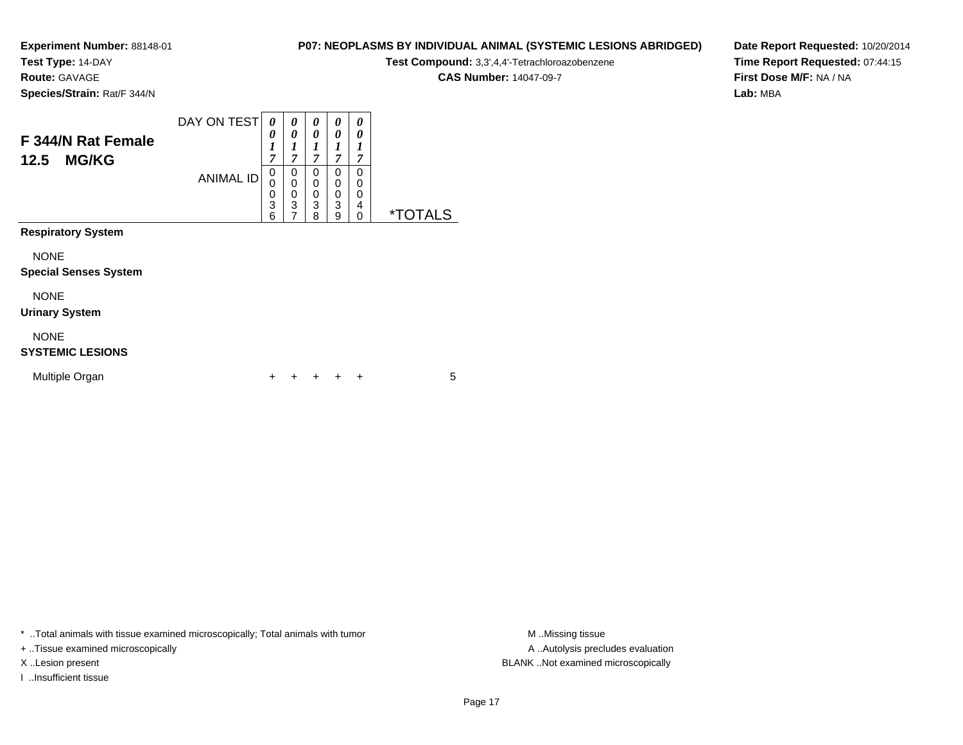**Test Type:** 14-DAY

**Route:** GAVAGE

**Species/Strain:** Rat/F 344/N

# **P07: NEOPLASMS BY INDIVIDUAL ANIMAL (SYSTEMIC LESIONS ABRIDGED)**

**Test Compound:** 3,3',4,4'-Tetrachloroazobenzene

**CAS Number:** 14047-09-7

**Date Report Requested:** 10/20/2014**Time Report Requested:** 07:44:15**First Dose M/F:** NA / NA**Lab:** MBA

| F 344/N Rat Female<br><b>MG/KG</b><br>12.5  | DAY ON TEST      | $\theta$<br>0<br>1<br>$\overline{7}$ | 0<br>0<br>1<br>$\overline{7}$                                       | 0<br>0<br>$\boldsymbol{l}$<br>7                  | 0<br>0<br>1<br>7                                    | 0<br>0<br>1<br>7      |                       |
|---------------------------------------------|------------------|--------------------------------------|---------------------------------------------------------------------|--------------------------------------------------|-----------------------------------------------------|-----------------------|-----------------------|
|                                             | <b>ANIMAL ID</b> | 0<br>0<br>0<br>3<br>6                | 0<br>$\mathbf 0$<br>$\mathbf 0$<br>$\overline{3}$<br>$\overline{7}$ | $\Omega$<br>$\mathbf 0$<br>$\mathbf 0$<br>3<br>8 | $\mathbf 0$<br>$\mathbf 0$<br>$\mathbf 0$<br>3<br>9 | 0<br>0<br>0<br>4<br>0 | <i><b>*TOTALS</b></i> |
| <b>Respiratory System</b>                   |                  |                                      |                                                                     |                                                  |                                                     |                       |                       |
| <b>NONE</b><br><b>Special Senses System</b> |                  |                                      |                                                                     |                                                  |                                                     |                       |                       |
| <b>NONE</b><br><b>Urinary System</b>        |                  |                                      |                                                                     |                                                  |                                                     |                       |                       |
| <b>NONE</b><br><b>SYSTEMIC LESIONS</b>      |                  |                                      |                                                                     |                                                  |                                                     |                       |                       |
| Multiple Organ                              |                  | ٠                                    |                                                                     |                                                  |                                                     | ÷                     | 5                     |

\* ..Total animals with tissue examined microscopically; Total animals with tumor **M** . Missing tissue M ..Missing tissue

+ ..Tissue examined microscopically

I ..Insufficient tissue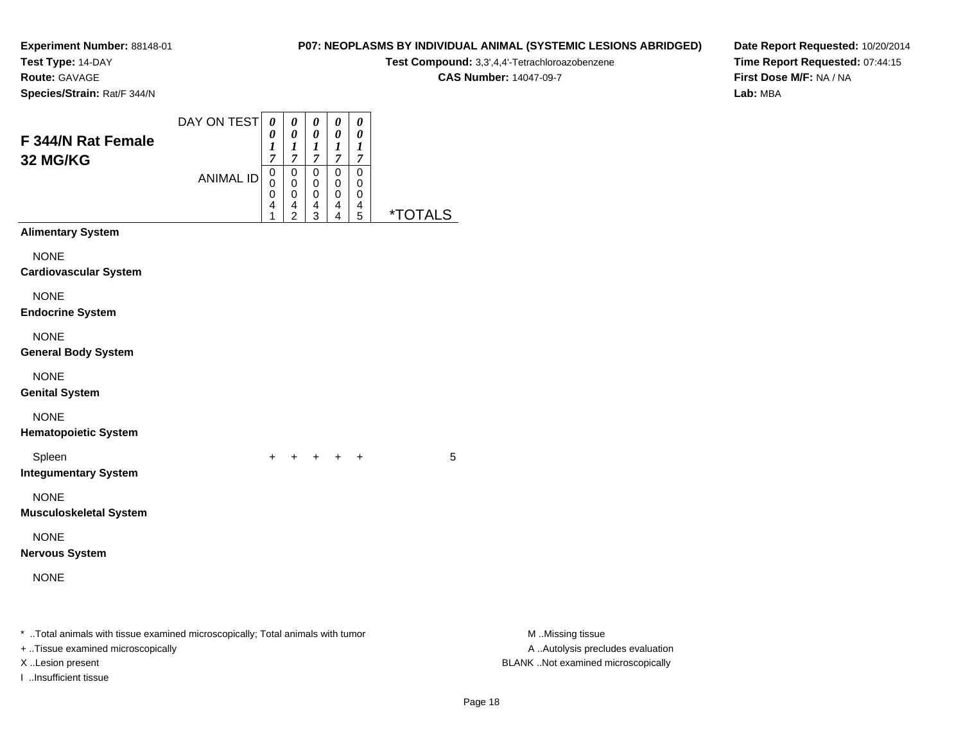**Test Type:** 14-DAY

**Route:** GAVAGE

**Species/Strain:** Rat/F 344/N

# **P07: NEOPLASMS BY INDIVIDUAL ANIMAL (SYSTEMIC LESIONS ABRIDGED)**

**Test Compound:** 3,3',4,4'-Tetrachloroazobenzene

**CAS Number:** 14047-09-7

**Date Report Requested:** 10/20/2014**Time Report Requested:** 07:44:15**First Dose M/F:** NA / NA**Lab:** MBA

| F 344/N Rat Female<br>32 MG/KG                                                                                                                                   | DAY ON TEST<br><b>ANIMAL ID</b> | 0<br>0<br>1<br>$\overline{7}$<br>0<br>0<br>0<br>4<br>1 | 0<br>$\pmb{\theta}$<br>$\frac{1}{7}$<br>$\pmb{0}$<br>$\mathbf 0$<br>$\pmb{0}$<br>4<br>$\overline{c}$ | 0<br>0<br>$\frac{1}{7}$<br>0<br>0<br>0<br>4<br>3 | $\pmb{\theta}$<br>$\pmb{\theta}$<br>$\boldsymbol{l}$<br>$\boldsymbol{7}$<br>$\mathbf 0$<br>$\mathbf 0$<br>$\pmb{0}$<br>4<br>$\overline{4}$ | $\pmb{\theta}$<br>0<br>1<br>$\boldsymbol{7}$<br>$\pmb{0}$<br>0<br>0<br>4<br>5 | <i><b>*TOTALS</b></i> |                                                                                             |
|------------------------------------------------------------------------------------------------------------------------------------------------------------------|---------------------------------|--------------------------------------------------------|------------------------------------------------------------------------------------------------------|--------------------------------------------------|--------------------------------------------------------------------------------------------------------------------------------------------|-------------------------------------------------------------------------------|-----------------------|---------------------------------------------------------------------------------------------|
| <b>Alimentary System</b>                                                                                                                                         |                                 |                                                        |                                                                                                      |                                                  |                                                                                                                                            |                                                                               |                       |                                                                                             |
| <b>NONE</b><br><b>Cardiovascular System</b>                                                                                                                      |                                 |                                                        |                                                                                                      |                                                  |                                                                                                                                            |                                                                               |                       |                                                                                             |
| <b>NONE</b><br><b>Endocrine System</b>                                                                                                                           |                                 |                                                        |                                                                                                      |                                                  |                                                                                                                                            |                                                                               |                       |                                                                                             |
| <b>NONE</b><br><b>General Body System</b>                                                                                                                        |                                 |                                                        |                                                                                                      |                                                  |                                                                                                                                            |                                                                               |                       |                                                                                             |
| <b>NONE</b><br><b>Genital System</b>                                                                                                                             |                                 |                                                        |                                                                                                      |                                                  |                                                                                                                                            |                                                                               |                       |                                                                                             |
| <b>NONE</b><br><b>Hematopoietic System</b>                                                                                                                       |                                 |                                                        |                                                                                                      |                                                  |                                                                                                                                            |                                                                               |                       |                                                                                             |
| Spleen<br><b>Integumentary System</b>                                                                                                                            |                                 |                                                        |                                                                                                      | $+$ $+$                                          |                                                                                                                                            | $^{+}$                                                                        | 5                     |                                                                                             |
| <b>NONE</b><br><b>Musculoskeletal System</b>                                                                                                                     |                                 |                                                        |                                                                                                      |                                                  |                                                                                                                                            |                                                                               |                       |                                                                                             |
| <b>NONE</b><br><b>Nervous System</b>                                                                                                                             |                                 |                                                        |                                                                                                      |                                                  |                                                                                                                                            |                                                                               |                       |                                                                                             |
| <b>NONE</b>                                                                                                                                                      |                                 |                                                        |                                                                                                      |                                                  |                                                                                                                                            |                                                                               |                       |                                                                                             |
| * Total animals with tissue examined microscopically; Total animals with tumor<br>+ Tissue examined microscopically<br>X Lesion present<br>I Insufficient tissue |                                 |                                                        |                                                                                                      |                                                  |                                                                                                                                            |                                                                               |                       | M Missing tissue<br>A  Autolysis precludes evaluation<br>BLANK Not examined microscopically |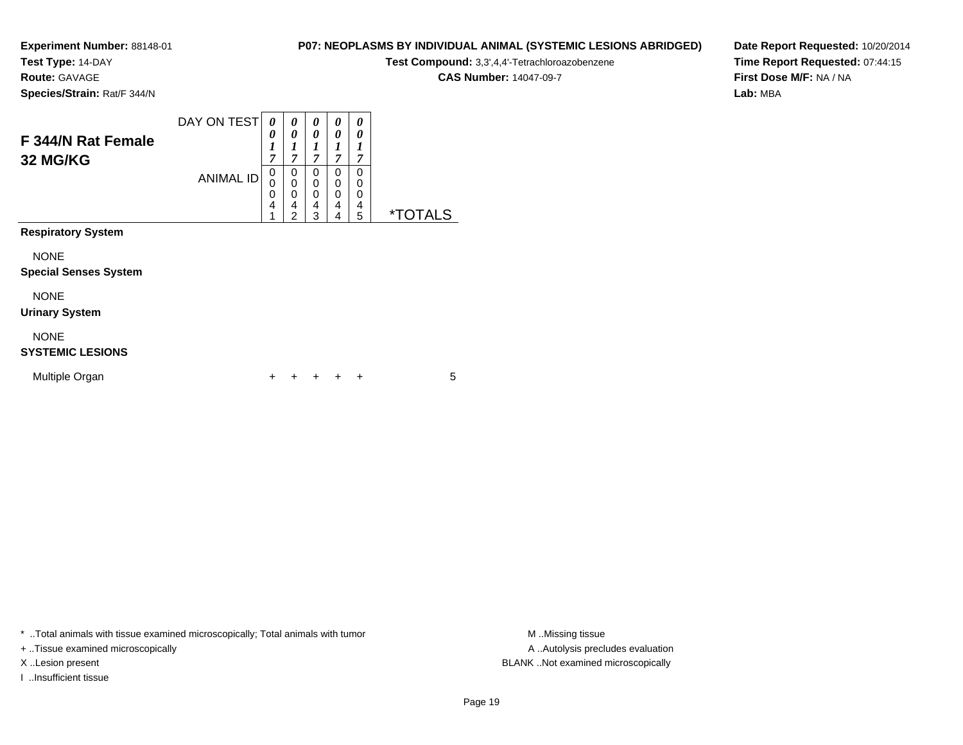**Test Type:** 14-DAY

**Route:** GAVAGE

**P07: NEOPLASMS BY INDIVIDUAL ANIMAL (SYSTEMIC LESIONS ABRIDGED)**

**Test Compound:** 3,3',4,4'-Tetrachloroazobenzene

**CAS Number:** 14047-09-7

**Date Report Requested:** 10/20/2014**Time Report Requested:** 07:44:15**First Dose M/F:** NA / NA**Lab:** MBA

**Species/Strain:** Rat/F 344/N

| F 344/N Rat Female<br>32 MG/KG              | DAY ON TEST      | 0<br>0<br>1<br>7 | 0<br>0<br>1<br>$\overline{7}$     | 0<br>0<br>1<br>$\overline{7}$ | 0<br>0<br>1<br>7      | 0<br>0<br>1<br>7      |                       |
|---------------------------------------------|------------------|------------------|-----------------------------------|-------------------------------|-----------------------|-----------------------|-----------------------|
|                                             | <b>ANIMAL ID</b> | 0<br>0<br>0<br>4 | 0<br>0<br>0<br>4<br>$\mathcal{P}$ | 0<br>0<br>0<br>4<br>3         | 0<br>0<br>0<br>4<br>4 | 0<br>0<br>0<br>4<br>5 | <i><b>*TOTALS</b></i> |
| <b>Respiratory System</b>                   |                  |                  |                                   |                               |                       |                       |                       |
| <b>NONE</b><br><b>Special Senses System</b> |                  |                  |                                   |                               |                       |                       |                       |
| <b>NONE</b><br><b>Urinary System</b>        |                  |                  |                                   |                               |                       |                       |                       |
| <b>NONE</b><br><b>SYSTEMIC LESIONS</b>      |                  |                  |                                   |                               |                       |                       |                       |
| Multiple Organ                              |                  | +                |                                   |                               |                       | ÷                     | 5                     |

\* ..Total animals with tissue examined microscopically; Total animals with tumor **M** . Missing tissue M ..Missing tissue

+ ..Tissue examined microscopically

I ..Insufficient tissue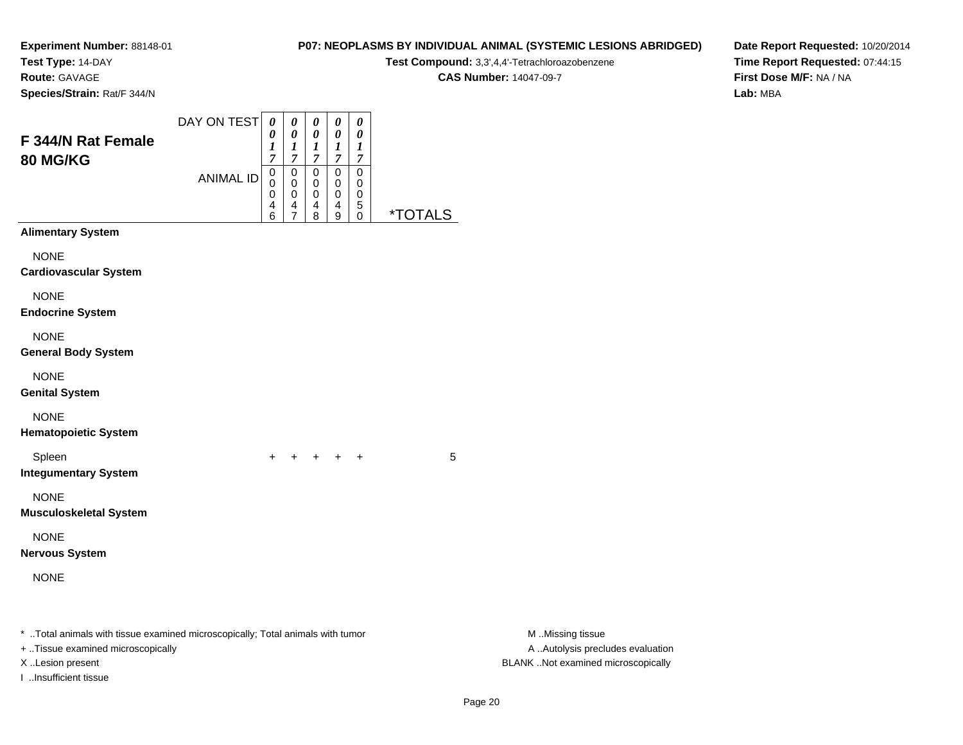**Test Type:** 14-DAY

**Route:** GAVAGE

**Species/Strain:** Rat/F 344/N

# **P07: NEOPLASMS BY INDIVIDUAL ANIMAL (SYSTEMIC LESIONS ABRIDGED)**

**Test Compound:** 3,3',4,4'-Tetrachloroazobenzene

**CAS Number:** 14047-09-7

**Date Report Requested:** 10/20/2014**Time Report Requested:** 07:44:15**First Dose M/F:** NA / NA**Lab:** MBA

| F 344/N Rat Female<br>80 MG/KG                                                                                                                                    | DAY ON TEST      | $\boldsymbol{\theta}$<br>0<br>$\boldsymbol{l}$<br>$\overline{7}$ | $\pmb{\theta}$<br>$\pmb{\theta}$<br>$\boldsymbol{l}$<br>$\overline{7}$ | 0<br>$\pmb{\theta}$<br>$\boldsymbol{l}$<br>$\boldsymbol{7}$ | $\pmb{\theta}$<br>$\pmb{\theta}$<br>$\boldsymbol{l}$<br>$\boldsymbol{7}$ | $\pmb{\theta}$<br>0<br>$\boldsymbol{l}$<br>$\boldsymbol{7}$ |                       |                                                                                             |  |
|-------------------------------------------------------------------------------------------------------------------------------------------------------------------|------------------|------------------------------------------------------------------|------------------------------------------------------------------------|-------------------------------------------------------------|--------------------------------------------------------------------------|-------------------------------------------------------------|-----------------------|---------------------------------------------------------------------------------------------|--|
|                                                                                                                                                                   | <b>ANIMAL ID</b> | $\,0\,$<br>0<br>0<br>4<br>6                                      | 0<br>0<br>$\,0\,$<br>4<br>7                                            | $\pmb{0}$<br>0<br>0<br>$^{\,4}_{\,8}$                       | 0<br>0<br>$\mathbf 0$<br>$\overline{4}$<br>9                             | $\pmb{0}$<br>0<br>0<br>5<br>$\mathbf 0$                     | <i><b>*TOTALS</b></i> |                                                                                             |  |
| <b>Alimentary System</b><br><b>NONE</b>                                                                                                                           |                  |                                                                  |                                                                        |                                                             |                                                                          |                                                             |                       |                                                                                             |  |
| <b>Cardiovascular System</b><br><b>NONE</b><br><b>Endocrine System</b>                                                                                            |                  |                                                                  |                                                                        |                                                             |                                                                          |                                                             |                       |                                                                                             |  |
| <b>NONE</b><br><b>General Body System</b>                                                                                                                         |                  |                                                                  |                                                                        |                                                             |                                                                          |                                                             |                       |                                                                                             |  |
| <b>NONE</b><br><b>Genital System</b>                                                                                                                              |                  |                                                                  |                                                                        |                                                             |                                                                          |                                                             |                       |                                                                                             |  |
| <b>NONE</b><br><b>Hematopoietic System</b>                                                                                                                        |                  |                                                                  |                                                                        |                                                             |                                                                          |                                                             |                       |                                                                                             |  |
| Spleen<br><b>Integumentary System</b>                                                                                                                             |                  |                                                                  |                                                                        |                                                             | $+$                                                                      | $\div$                                                      | 5                     |                                                                                             |  |
| <b>NONE</b><br><b>Musculoskeletal System</b>                                                                                                                      |                  |                                                                  |                                                                        |                                                             |                                                                          |                                                             |                       |                                                                                             |  |
| <b>NONE</b><br><b>Nervous System</b>                                                                                                                              |                  |                                                                  |                                                                        |                                                             |                                                                          |                                                             |                       |                                                                                             |  |
| <b>NONE</b>                                                                                                                                                       |                  |                                                                  |                                                                        |                                                             |                                                                          |                                                             |                       |                                                                                             |  |
| *  Total animals with tissue examined microscopically; Total animals with tumor<br>+ Tissue examined microscopically<br>X Lesion present<br>I Insufficient tissue |                  |                                                                  |                                                                        |                                                             |                                                                          |                                                             |                       | M Missing tissue<br>A  Autolysis precludes evaluation<br>BLANK Not examined microscopically |  |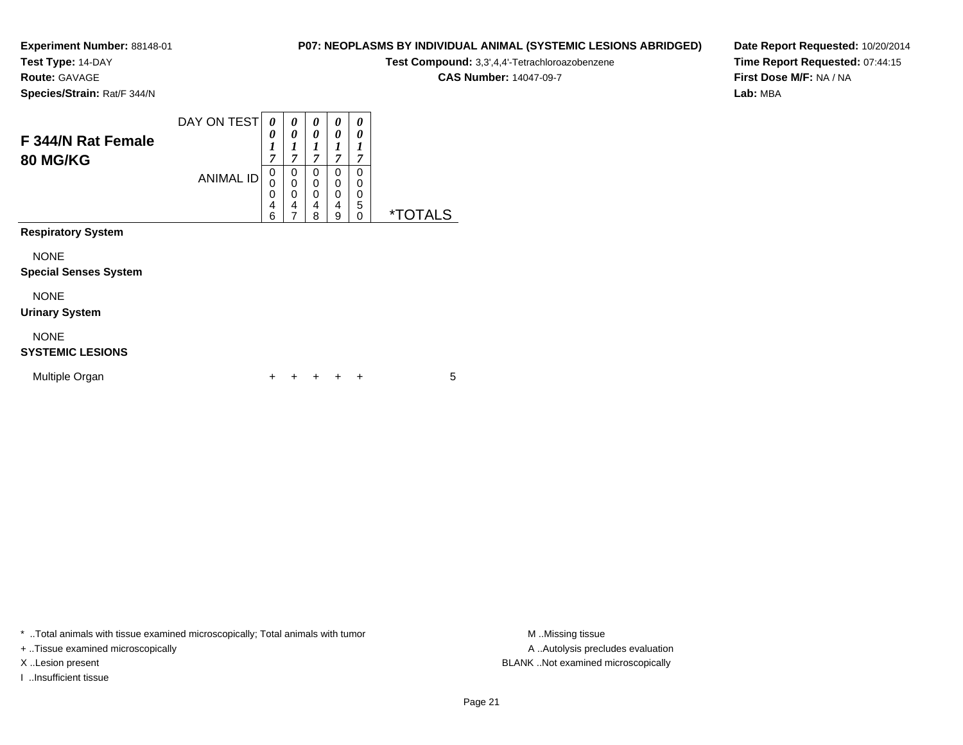**Test Type:** 14-DAY

**Route:** GAVAGE

**P07: NEOPLASMS BY INDIVIDUAL ANIMAL (SYSTEMIC LESIONS ABRIDGED)**

**Test Compound:** 3,3',4,4'-Tetrachloroazobenzene

**CAS Number:** 14047-09-7

**Date Report Requested:** 10/20/2014**Time Report Requested:** 07:44:15**First Dose M/F:** NA / NA**Lab:** MBA

**Species/Strain:** Rat/F 344/N

| F 344/N Rat Female<br><b>80 MG/KG</b>       | DAY ON TEST<br><b>ANIMAL ID</b> | $\theta$<br>0<br>1<br>7<br>$\mathbf 0$<br>0<br>0<br>4 | 0<br>0<br>1<br>$\overline{7}$<br>0<br>0<br>0<br>4 | 0<br>0<br>1<br>$\overline{7}$<br>0<br>0<br>0<br>4 | 0<br>0<br>1<br>7<br>0<br>0<br>0<br>4 | 0<br>0<br>7<br>0<br>0<br>0<br>5 |                       |
|---------------------------------------------|---------------------------------|-------------------------------------------------------|---------------------------------------------------|---------------------------------------------------|--------------------------------------|---------------------------------|-----------------------|
| <b>Respiratory System</b>                   |                                 | 6                                                     | 7                                                 | 8                                                 | 9                                    | 0                               | <i><b>*TOTALS</b></i> |
| <b>NONE</b><br><b>Special Senses System</b> |                                 |                                                       |                                                   |                                                   |                                      |                                 |                       |
| <b>NONE</b><br><b>Urinary System</b>        |                                 |                                                       |                                                   |                                                   |                                      |                                 |                       |
| <b>NONE</b><br><b>SYSTEMIC LESIONS</b>      |                                 |                                                       |                                                   |                                                   |                                      |                                 |                       |
| Multiple Organ                              |                                 | ┿                                                     |                                                   |                                                   | ٠                                    | ÷                               | 5                     |

\* ..Total animals with tissue examined microscopically; Total animals with tumor **M** . Missing tissue M ..Missing tissue

+ ..Tissue examined microscopically

I ..Insufficient tissue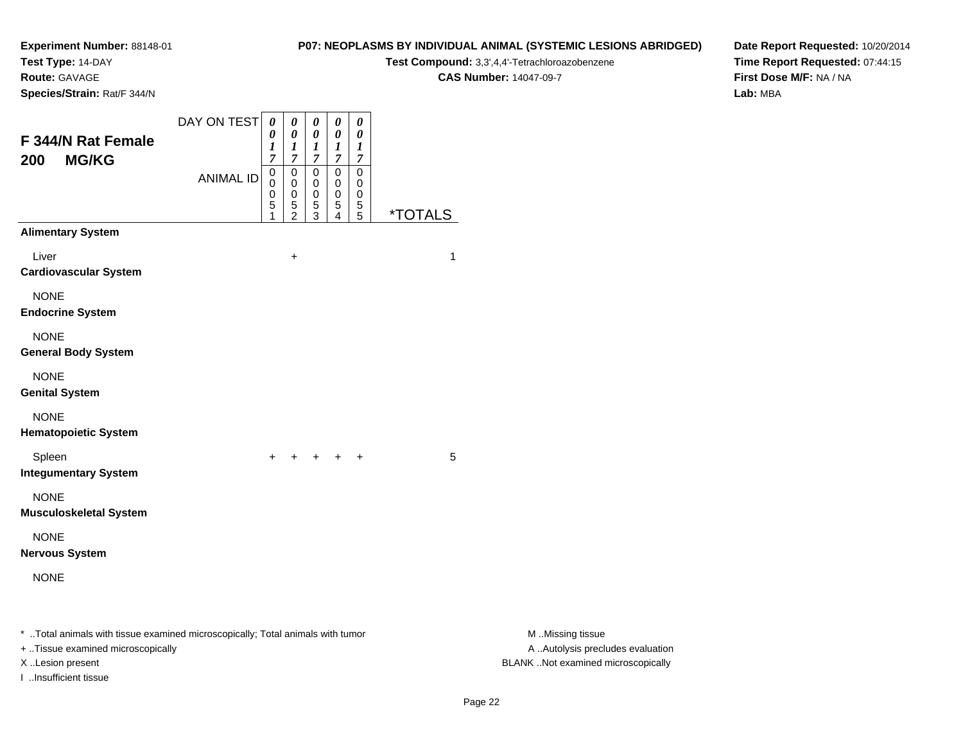**Test Type:** 14-DAY

**Route:** GAVAGE

**Species/Strain:** Rat/F 344/N

### **P07: NEOPLASMS BY INDIVIDUAL ANIMAL (SYSTEMIC LESIONS ABRIDGED)**

**Test Compound:** 3,3',4,4'-Tetrachloroazobenzene

**CAS Number:** 14047-09-7

**Date Report Requested:** 10/20/2014**Time Report Requested:** 07:44:15**First Dose M/F:** NA / NA**Lab:** MBA

| F 344/N Rat Female<br><b>MG/KG</b><br>200                                                                           | DAY ON TEST      | $\boldsymbol{\theta}$<br>0<br>1<br>$\overline{7}$ | 0<br>0<br>$\boldsymbol{l}$<br>7                | 0<br>$\pmb{\theta}$<br>$\boldsymbol{l}$<br>$\overline{7}$ | $\pmb{\theta}$<br>$\boldsymbol{\theta}$<br>$\boldsymbol{l}$<br>$\boldsymbol{7}$ | 0<br>0<br>$\boldsymbol{l}$<br>$\overline{7}$ |                       |                                                            |
|---------------------------------------------------------------------------------------------------------------------|------------------|---------------------------------------------------|------------------------------------------------|-----------------------------------------------------------|---------------------------------------------------------------------------------|----------------------------------------------|-----------------------|------------------------------------------------------------|
|                                                                                                                     | <b>ANIMAL ID</b> | $\mathbf 0$<br>$\mathbf 0$<br>0<br>5              | $\pmb{0}$<br>$\mathbf 0$<br>0<br>$\frac{5}{2}$ | $\pmb{0}$<br>$\mathbf 0$<br>0<br>$\frac{5}{3}$            | $\pmb{0}$<br>0<br>0<br>5<br>4                                                   | 0<br>0<br>0<br>$\frac{5}{5}$                 | <i><b>*TOTALS</b></i> |                                                            |
| <b>Alimentary System</b>                                                                                            |                  |                                                   |                                                |                                                           |                                                                                 |                                              |                       |                                                            |
| Liver<br><b>Cardiovascular System</b>                                                                               |                  |                                                   | $\ddot{}$                                      |                                                           |                                                                                 |                                              | 1                     |                                                            |
| <b>NONE</b><br><b>Endocrine System</b>                                                                              |                  |                                                   |                                                |                                                           |                                                                                 |                                              |                       |                                                            |
| <b>NONE</b><br><b>General Body System</b>                                                                           |                  |                                                   |                                                |                                                           |                                                                                 |                                              |                       |                                                            |
| <b>NONE</b><br><b>Genital System</b>                                                                                |                  |                                                   |                                                |                                                           |                                                                                 |                                              |                       |                                                            |
| <b>NONE</b><br><b>Hematopoietic System</b>                                                                          |                  |                                                   |                                                |                                                           |                                                                                 |                                              |                       |                                                            |
| Spleen<br><b>Integumentary System</b>                                                                               |                  | $+$                                               |                                                | $+ + + + +$                                               |                                                                                 |                                              | 5                     |                                                            |
| <b>NONE</b><br><b>Musculoskeletal System</b>                                                                        |                  |                                                   |                                                |                                                           |                                                                                 |                                              |                       |                                                            |
| <b>NONE</b><br><b>Nervous System</b>                                                                                |                  |                                                   |                                                |                                                           |                                                                                 |                                              |                       |                                                            |
| <b>NONE</b>                                                                                                         |                  |                                                   |                                                |                                                           |                                                                                 |                                              |                       |                                                            |
| * Total animals with tissue examined microscopically; Total animals with tumor<br>+ Tissue examined microscopically |                  |                                                   |                                                |                                                           |                                                                                 |                                              |                       | M Missing tissue<br>A  Autolysis precludes evaluation<br>. |

I ..Insufficient tissue

M ..Missing tissue X ..Lesion present BLANK ..Not examined microscopically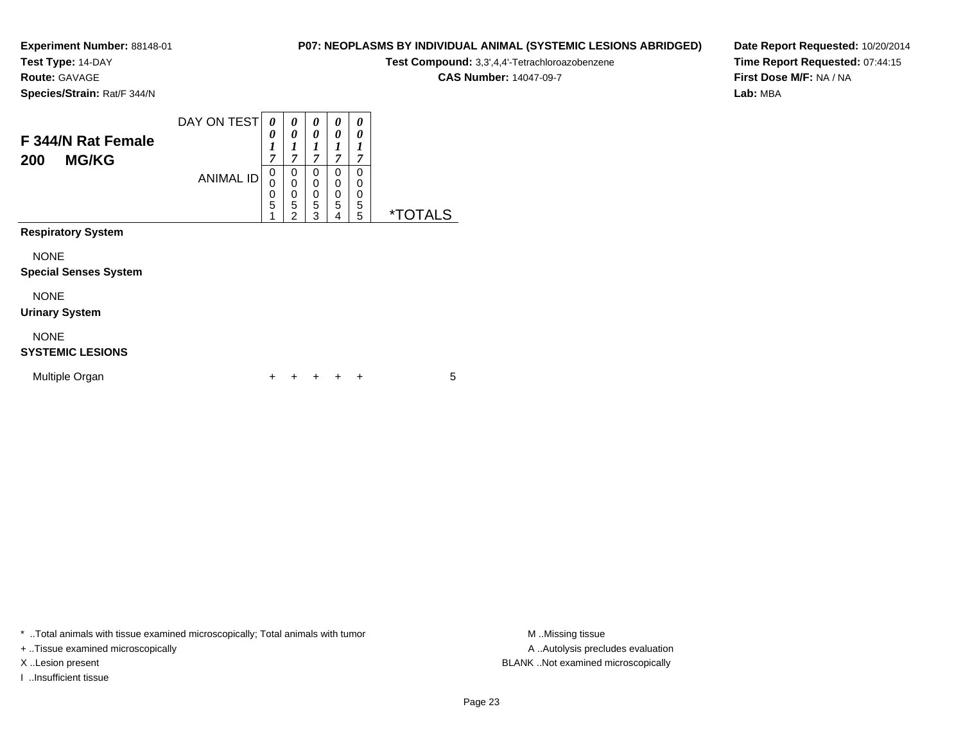**Test Type:** 14-DAY

**Route:** GAVAGE

**Species/Strain:** Rat/F 344/N

# **P07: NEOPLASMS BY INDIVIDUAL ANIMAL (SYSTEMIC LESIONS ABRIDGED)**

**Test Compound:** 3,3',4,4'-Tetrachloroazobenzene

**CAS Number:** 14047-09-7

**Date Report Requested:** 10/20/2014**Time Report Requested:** 07:44:15**First Dose M/F:** NA / NA**Lab:** MBA

| F 344/N Rat Female<br><b>MG/KG</b><br>200   | DAY ON TEST      | 0<br>0<br>1<br>7                | 0<br>0<br>1<br>7                   | 0<br>0<br>7           | 0<br>0<br>1<br>7      | 0<br>0<br>1<br>7      |                       |
|---------------------------------------------|------------------|---------------------------------|------------------------------------|-----------------------|-----------------------|-----------------------|-----------------------|
|                                             | <b>ANIMAL ID</b> | $\mathbf 0$<br>0<br>0<br>5<br>1 | 0<br>0<br>0<br>5<br>$\overline{2}$ | 0<br>0<br>0<br>5<br>3 | 0<br>0<br>0<br>5<br>4 | 0<br>0<br>0<br>5<br>5 | <i><b>*TOTALS</b></i> |
| <b>Respiratory System</b>                   |                  |                                 |                                    |                       |                       |                       |                       |
| <b>NONE</b><br><b>Special Senses System</b> |                  |                                 |                                    |                       |                       |                       |                       |
| <b>NONE</b><br><b>Urinary System</b>        |                  |                                 |                                    |                       |                       |                       |                       |
| <b>NONE</b><br><b>SYSTEMIC LESIONS</b>      |                  |                                 |                                    |                       |                       |                       |                       |
| Multiple Organ                              |                  | ÷                               | ٠                                  |                       |                       | ÷                     | 5                     |

\* ..Total animals with tissue examined microscopically; Total animals with tumor **M** . Missing tissue M ..Missing tissue

+ ..Tissue examined microscopically

I ..Insufficient tissue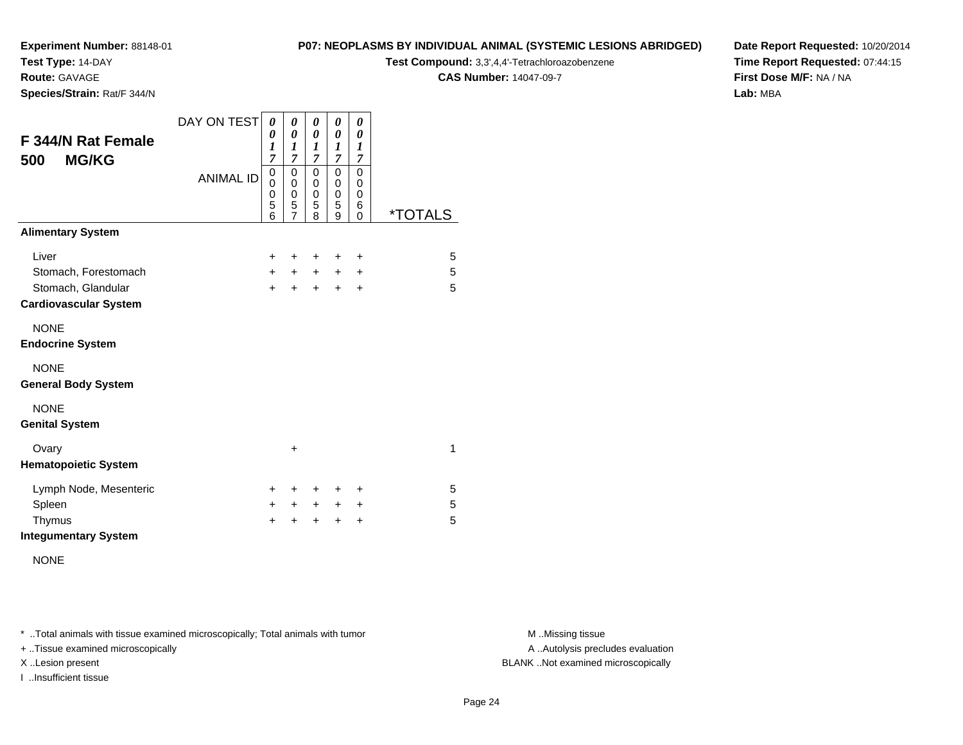**Test Type:** 14-DAY

**Route:** GAVAGE

**Species/Strain:** Rat/F 344/N

#### **P07: NEOPLASMS BY INDIVIDUAL ANIMAL (SYSTEMIC LESIONS ABRIDGED)**

**Test Compound:** 3,3',4,4'-Tetrachloroazobenzene

**CAS Number:** 14047-09-7

**Date Report Requested:** 10/20/2014**Time Report Requested:** 07:44:15**First Dose M/F:** NA / NA**Lab:** MBA

| F 344/N Rat Female<br><b>MG/KG</b><br>500          | DAY ON TEST      | 0<br>0<br>1<br>$\overline{7}$   | 0<br>0<br>1<br>$\overline{7}$   | 0<br>0<br>$\boldsymbol{l}$<br>7 | 0<br>0<br>1<br>7                | 0<br>0<br>1<br>7                                    |                       |
|----------------------------------------------------|------------------|---------------------------------|---------------------------------|---------------------------------|---------------------------------|-----------------------------------------------------|-----------------------|
|                                                    | <b>ANIMAL ID</b> | 0<br>0<br>$\mathbf 0$<br>5<br>6 | 0<br>0<br>$\mathbf 0$<br>5<br>7 | 0<br>0<br>$\mathbf 0$<br>5<br>8 | 0<br>0<br>$\mathbf 0$<br>5<br>9 | 0<br>$\mathbf 0$<br>$\mathbf 0$<br>6<br>$\mathbf 0$ | <i><b>*TOTALS</b></i> |
| <b>Alimentary System</b>                           |                  |                                 |                                 |                                 |                                 |                                                     |                       |
| Liver                                              |                  | $\ddot{}$                       | +                               | ÷                               | ÷                               | $\ddot{}$                                           | 5                     |
| Stomach, Forestomach                               |                  | $+$                             | $\pm$                           | $\ddot{}$                       | $\pm$                           | $\ddot{}$                                           | 5                     |
| Stomach, Glandular<br><b>Cardiovascular System</b> |                  | $+$                             | $\ddot{}$                       | $+$                             | $+$                             | $\ddot{}$                                           | 5                     |
| <b>NONE</b><br><b>Endocrine System</b>             |                  |                                 |                                 |                                 |                                 |                                                     |                       |
| <b>NONE</b><br><b>General Body System</b>          |                  |                                 |                                 |                                 |                                 |                                                     |                       |
| <b>NONE</b><br><b>Genital System</b>               |                  |                                 |                                 |                                 |                                 |                                                     |                       |
| Ovary<br><b>Hematopoietic System</b>               |                  |                                 | $\ddot{}$                       |                                 |                                 |                                                     | 1                     |
| Lymph Node, Mesenteric                             |                  | $\pm$                           | ٠                               | ÷                               | ÷                               | ÷                                                   | 5                     |
| Spleen                                             |                  | $\pm$                           | $\ddot{}$                       | $\ddot{}$                       | $\ddot{}$                       | $\ddot{}$                                           | 5                     |
| Thymus                                             |                  | $\ddot{}$                       | +                               | $\ddot{}$                       | $\ddot{}$                       | $\ddot{}$                                           | 5                     |
| <b>Integumentary System</b>                        |                  |                                 |                                 |                                 |                                 |                                                     |                       |

NONE

\* ..Total animals with tissue examined microscopically; Total animals with tumor **M** . Missing tissue M ..Missing tissue

+ ..Tissue examined microscopically

I ..Insufficient tissue